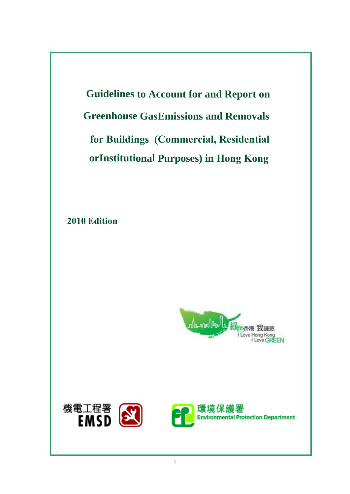**Greenhouse GasEmissions and Removals for Buildings (Commercial, Residential for Buildings (Commercial, Residential orInstitutional Purposes) in Hong Kong Guidelines to Account for and Report on**

**2010 Edition**



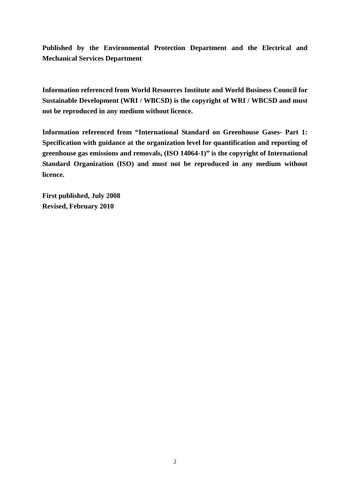**Published by the Environmental Protection Department and the Electrical and Mechanical Services Department** 

**Information referenced from World Resources Institute and World Business Council for Sustainable Development (WRI / WBCSD) is the copyright of WRI / WBCSD and must not be reproduced in any medium without licence.** 

**Information referenced from "International Standard on Greenhouse Gases- Part 1: Specification with guidance at the organization level for quantification and reporting of greenhouse gas emissions and removals, (ISO 14064-1)" is the copyright of International Standard Organization (ISO) and must not be reproduced in any medium without licence.** 

**First published, July 2008 Revised, February 2010**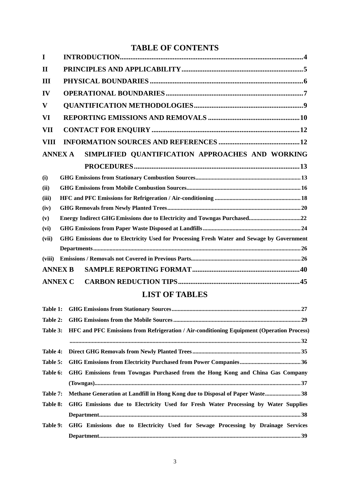# **TABLE OF CONTENTS**

| I              |                                                                                                  |
|----------------|--------------------------------------------------------------------------------------------------|
| $\bf{I}\bf{I}$ |                                                                                                  |
| Ш              |                                                                                                  |
| IV             |                                                                                                  |
| $\mathbf{V}$   |                                                                                                  |
| VI             |                                                                                                  |
| VII            |                                                                                                  |
| VIII           |                                                                                                  |
| <b>ANNEX A</b> | SIMPLIFIED QUANTIFICATION APPROACHES AND WORKING                                                 |
|                |                                                                                                  |
| (i)            |                                                                                                  |
| (ii)           |                                                                                                  |
| (iii)          |                                                                                                  |
| (iv)           |                                                                                                  |
| (v)            | Energy Indirect GHG Emissions due to Electricity and Towngas Purchased22                         |
| (vi)           |                                                                                                  |
| (vii)          | GHG Emissions due to Electricity Used for Processing Fresh Water and Sewage by Government        |
|                |                                                                                                  |
| (viii)         |                                                                                                  |
| <b>ANNEX B</b> |                                                                                                  |
| <b>ANNEX C</b> |                                                                                                  |
|                | <b>LIST OF TABLES</b>                                                                            |
| Table 1:       |                                                                                                  |
| Table 2:       |                                                                                                  |
| Table 3:       | <b>HFC and PFC Emissions from Refrigeration / Air-conditioning Equipment (Operation Process)</b> |
|                |                                                                                                  |
| Table 4:       |                                                                                                  |
| Table 5:       |                                                                                                  |
| Table 6:       | GHG Emissions from Towngas Purchased from the Hong Kong and China Gas Company                    |
|                |                                                                                                  |
| Table 7:       | Methane Generation at Landfill in Hong Kong due to Disposal of Paper Waste38                     |
| Table 8:       | GHG Emissions due to Electricity Used for Fresh Water Processing by Water Supplies               |
|                |                                                                                                  |
| Table 9:       | GHG Emissions due to Electricity Used for Sewage Processing by Drainage Services                 |
|                |                                                                                                  |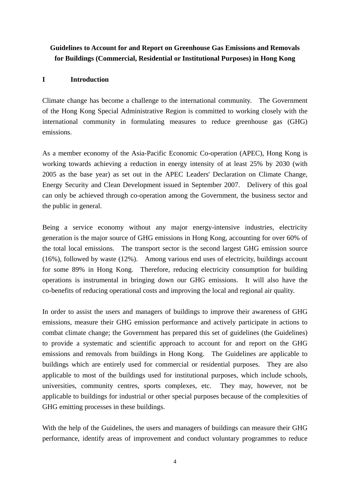# **Guidelines to Account for and Report on Greenhouse Gas Emissions and Removals for Buildings (Commercial, Residential or Institutional Purposes) in Hong Kong**

#### **I Introduction**

Climate change has become a challenge to the international community. The Government of the Hong Kong Special Administrative Region is committed to working closely with the international community in formulating measures to reduce greenhouse gas (GHG) emissions.

As a member economy of the Asia-Pacific Economic Co-operation (APEC), Hong Kong is working towards achieving a reduction in energy intensity of at least 25% by 2030 (with 2005 as the base year) as set out in the APEC Leaders' Declaration on Climate Change, Energy Security and Clean Development issued in September 2007. Delivery of this goal can only be achieved through co-operation among the Government, the business sector and the public in general.

Being a service economy without any major energy-intensive industries, electricity generation is the major source of GHG emissions in Hong Kong, accounting for over 60% of the total local emissions. The transport sector is the second largest GHG emission source (16%), followed by waste (12%). Among various end uses of electricity, buildings account for some 89% in Hong Kong. Therefore, reducing electricity consumption for building operations is instrumental in bringing down our GHG emissions. It will also have the co-benefits of reducing operational costs and improving the local and regional air quality.

In order to assist the users and managers of buildings to improve their awareness of GHG emissions, measure their GHG emission performance and actively participate in actions to combat climate change; the Government has prepared this set of guidelines (the Guidelines) to provide a systematic and scientific approach to account for and report on the GHG emissions and removals from buildings in Hong Kong. The Guidelines are applicable to buildings which are entirely used for commercial or residential purposes. They are also applicable to most of the buildings used for institutional purposes, which include schools, universities, community centres, sports complexes, etc. They may, however, not be applicable to buildings for industrial or other special purposes because of the complexities of GHG emitting processes in these buildings.

With the help of the Guidelines, the users and managers of buildings can measure their GHG performance, identify areas of improvement and conduct voluntary programmes to reduce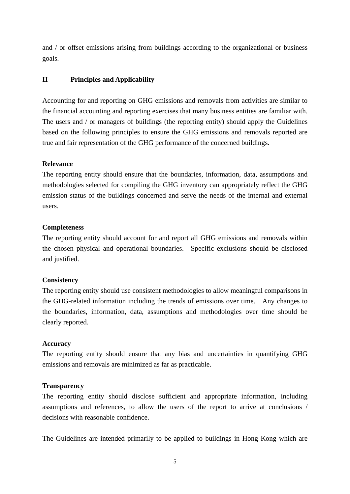and / or offset emissions arising from buildings according to the organizational or business goals.

## **II Principles and Applicability**

Accounting for and reporting on GHG emissions and removals from activities are similar to the financial accounting and reporting exercises that many business entities are familiar with. The users and / or managers of buildings (the reporting entity) should apply the Guidelines based on the following principles to ensure the GHG emissions and removals reported are true and fair representation of the GHG performance of the concerned buildings.

#### **Relevance**

The reporting entity should ensure that the boundaries, information, data, assumptions and methodologies selected for compiling the GHG inventory can appropriately reflect the GHG emission status of the buildings concerned and serve the needs of the internal and external users.

#### **Completeness**

The reporting entity should account for and report all GHG emissions and removals within the chosen physical and operational boundaries. Specific exclusions should be disclosed and justified.

## **Consistency**

The reporting entity should use consistent methodologies to allow meaningful comparisons in the GHG-related information including the trends of emissions over time. Any changes to the boundaries, information, data, assumptions and methodologies over time should be clearly reported.

#### **Accuracy**

The reporting entity should ensure that any bias and uncertainties in quantifying GHG emissions and removals are minimized as far as practicable.

#### **Transparency**

The reporting entity should disclose sufficient and appropriate information, including assumptions and references, to allow the users of the report to arrive at conclusions / decisions with reasonable confidence.

The Guidelines are intended primarily to be applied to buildings in Hong Kong which are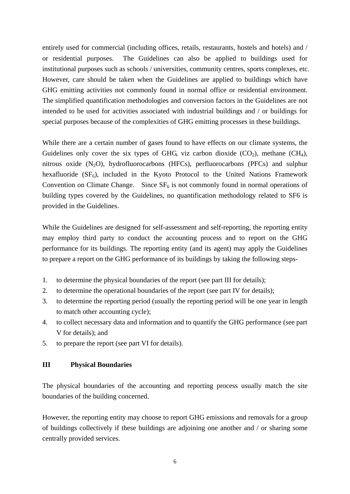entirely used for commercial (including offices, retails, restaurants, hostels and hotels) and / or residential purposes. The Guidelines can also be applied to buildings used for institutional purposes such as schools / universities, community centres, sports complexes, etc. However, care should be taken when the Guidelines are applied to buildings which have GHG emitting activities not commonly found in normal office or residential environment. The simplified quantification methodologies and conversion factors in the Guidelines are not intended to be used for activities associated with industrial buildings and / or buildings for special purposes because of the complexities of GHG emitting processes in these buildings.

While there are a certain number of gases found to have effects on our climate systems, the Guidelines only cover the six types of GHG, viz carbon dioxide  $(CO_2)$ , methane  $(CH_4)$ , nitrous oxide  $(N_2O)$ , hydrofluorocarbons (HFCs), perfluorocarbons (PFCs) and sulphur hexafluoride  $(SF_6)$ , included in the Kyoto Protocol to the United Nations Framework Convention on Climate Change. Since  $SF<sub>6</sub>$  is not commonly found in normal operations of building types covered by the Guidelines, no quantification methodology related to SF6 is provided in the Guidelines.

While the Guidelines are designed for self-assessment and self-reporting, the reporting entity may employ third party to conduct the accounting process and to report on the GHG performance for its buildings. The reporting entity (and its agent) may apply the Guidelines to prepare a report on the GHG performance of its buildings by taking the following steps-

- 1. to determine the physical boundaries of the report (see part III for details);
- 2. to determine the operational boundaries of the report (see part IV for details);
- 3. to determine the reporting period (usually the reporting period will be one year in length to match other accounting cycle);
- 4. to collect necessary data and information and to quantify the GHG performance (see part V for details); and
- 5. to prepare the report (see part VI for details).

## **III Physical Boundaries**

The physical boundaries of the accounting and reporting process usually match the site boundaries of the building concerned.

However, the reporting entity may choose to report GHG emissions and removals for a group of buildings collectively if these buildings are adjoining one another and / or sharing some centrally provided services.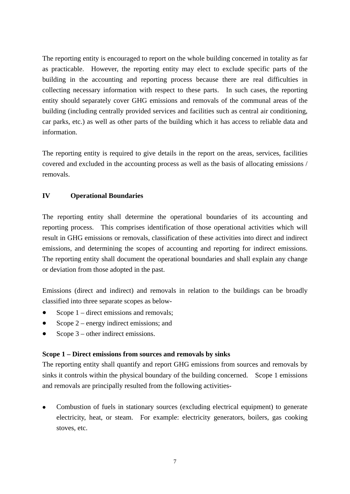The reporting entity is encouraged to report on the whole building concerned in totality as far as practicable. However, the reporting entity may elect to exclude specific parts of the building in the accounting and reporting process because there are real difficulties in collecting necessary information with respect to these parts. In such cases, the reporting entity should separately cover GHG emissions and removals of the communal areas of the building (including centrally provided services and facilities such as central air conditioning, car parks, etc.) as well as other parts of the building which it has access to reliable data and information.

The reporting entity is required to give details in the report on the areas, services, facilities covered and excluded in the accounting process as well as the basis of allocating emissions / removals.

## **IV Operational Boundaries**

The reporting entity shall determine the operational boundaries of its accounting and reporting process. This comprises identification of those operational activities which will result in GHG emissions or removals, classification of these activities into direct and indirect emissions, and determining the scopes of accounting and reporting for indirect emissions. The reporting entity shall document the operational boundaries and shall explain any change or deviation from those adopted in the past.

Emissions (direct and indirect) and removals in relation to the buildings can be broadly classified into three separate scopes as below-

- Scope 1 – direct emissions and removals;
- Scope 2 – energy indirect emissions; and
- Scope 3 – other indirect emissions.

## **Scope 1 – Direct emissions from sources and removals by sinks**

The reporting entity shall quantify and report GHG emissions from sources and removals by sinks it controls within the physical boundary of the building concerned. Scope 1 emissions and removals are principally resulted from the following activities-

• Combustion of fuels in stationary sources (excluding electrical equipment) to generate electricity, heat, or steam. For example: electricity generators, boilers, gas cooking stoves, etc.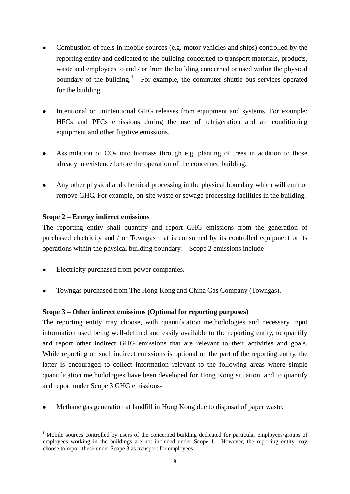- <span id="page-7-0"></span>Combustion of fuels in mobile sources (e.g. motor vehicles and ships) controlled by the reporting entity and dedicated to the building concerned to transport materials, products, waste and employees to and / or from the building concerned or used within the physical boundary of the building.<sup>[1](#page-7-0)</sup> For example, the commuter shuttle bus services operated for the building.
- Intentional or unintentional GHG releases from equipment and systems. For example: HFCs and PFCs emissions during the use of refrigeration and air conditioning equipment and other fugitive emissions.
- Assimilation of  $CO<sub>2</sub>$  into biomass through e.g. planting of trees in addition to those already in existence before the operation of the concerned building.
- Any other physical and chemical processing in the physical boundary which will emit or remove GHG. For example, on-site waste or sewage processing facilities in the building.

## **Scope 2 – Energy indirect emissions**

The reporting entity shall quantify and report GHG emissions from the generation of purchased electricity and / or Towngas that is consumed by its controlled equipment or its operations within the physical building boundary. Scope 2 emissions include-

- Electricity purchased from power companies.
- Towngas purchased from The Hong Kong and China Gas Company (Towngas).

## **Scope 3 – Other indirect emissions (Optional for reporting purposes)**

The reporting entity may choose, with quantification methodologies and necessary input information used being well-defined and easily available to the reporting entity, to quantify and report other indirect GHG emissions that are relevant to their activities and goals. While reporting on such indirect emissions is optional on the part of the reporting entity, the latter is encouraged to collect information relevant to the following areas where simple quantification methodologies have been developed for Hong Kong situation, and to quantify and report under Scope 3 GHG emissions-

Methane gas generation at landfill in Hong Kong due to disposal of paper waste.

<sup>1</sup> <sup>1</sup> Mobile sources controlled by users of the concerned building dedicated for particular employees/groups of employees working in the buildings are not included under Scope 1. However, the reporting entity may choose to report these under Scope 3 as transport for employees.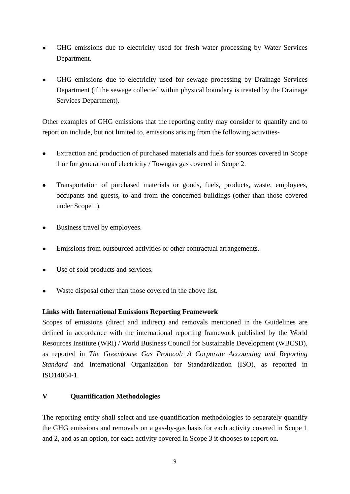- GHG emissions due to electricity used for fresh water processing by Water Services Department.
- GHG emissions due to electricity used for sewage processing by Drainage Services Department (if the sewage collected within physical boundary is treated by the Drainage Services Department).

Other examples of GHG emissions that the reporting entity may consider to quantify and to report on include, but not limited to, emissions arising from the following activities-

- Extraction and production of purchased materials and fuels for sources covered in Scope 1 or for generation of electricity / Towngas gas covered in Scope 2.
- Transportation of purchased materials or goods, fuels, products, waste, employees, occupants and guests, to and from the concerned buildings (other than those covered under Scope 1).
- Business travel by employees.
- Emissions from outsourced activities or other contractual arrangements.
- Use of sold products and services.
- Waste disposal other than those covered in the above list.

## **Links with International Emissions Reporting Framework**

Scopes of emissions (direct and indirect) and removals mentioned in the Guidelines are defined in accordance with the international reporting framework published by the World Resources Institute (WRI) / World Business Council for Sustainable Development (WBCSD), as reported in *The Greenhouse Gas Protocol: A Corporate Accounting and Reporting Standard* and International Organization for Standardization (ISO), as reported in ISO14064-1.

## **V Quantification Methodologies**

The reporting entity shall select and use quantification methodologies to separately quantify the GHG emissions and removals on a gas-by-gas basis for each activity covered in Scope 1 and 2, and as an option, for each activity covered in Scope 3 it chooses to report on.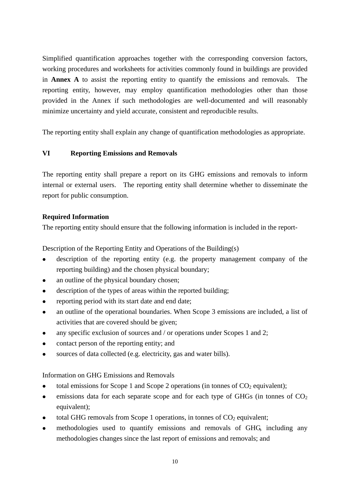Simplified quantification approaches together with the corresponding conversion factors, working procedures and worksheets for activities commonly found in buildings are provided in **Annex A** to assist the reporting entity to quantify the emissions and removals. The reporting entity, however, may employ quantification methodologies other than those provided in the Annex if such methodologies are well-documented and will reasonably minimize uncertainty and yield accurate, consistent and reproducible results.

The reporting entity shall explain any change of quantification methodologies as appropriate.

## **VI Reporting Emissions and Removals**

The reporting entity shall prepare a report on its GHG emissions and removals to inform internal or external users. The reporting entity shall determine whether to disseminate the report for public consumption.

## **Required Information**

The reporting entity should ensure that the following information is included in the report-

Description of the Reporting Entity and Operations of the Building(s)

- description of the reporting entity (e.g. the property management company of the reporting building) and the chosen physical boundary;
- an outline of the physical boundary chosen;
- $\bullet$  description of the types of areas within the reported building;
- $\bullet$  reporting period with its start date and end date;
- an outline of the operational boundaries. When Scope 3 emissions are included, a list of activities that are covered should be given;
- any specific exclusion of sources and  $/$  or operations under Scopes 1 and 2;
- $\bullet$  contact person of the reporting entity; and
- $\bullet$  sources of data collected (e.g. electricity, gas and water bills).

## Information on GHG Emissions and Removals

- total emissions for Scope 1 and Scope 2 operations (in tonnes of  $CO<sub>2</sub>$  equivalent);
- $\bullet$  emissions data for each separate scope and for each type of GHGs (in tonnes of  $CO<sub>2</sub>$ ) equivalent);
- total GHG removals from Scope 1 operations, in tonnes of  $CO<sub>2</sub>$  equivalent;
- methodologies used to quantify emissions and removals of GHG, including any methodologies changes since the last report of emissions and removals; and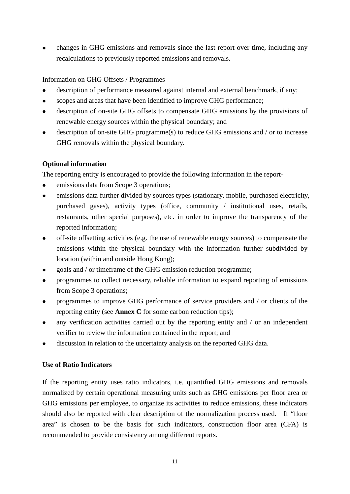changes in GHG emissions and removals since the last report over time, including any recalculations to previously reported emissions and removals.

## Information on GHG Offsets / Programmes

- $\bullet$  description of performance measured against internal and external benchmark, if any;
- scopes and areas that have been identified to improve GHG performance;
- description of on-site GHG offsets to compensate GHG emissions by the provisions of renewable energy sources within the physical boundary; and
- description of on-site GHG programme(s) to reduce GHG emissions and / or to increase GHG removals within the physical boundary.

## **Optional information**

The reporting entity is encouraged to provide the following information in the report-

- emissions data from Scope 3 operations;
- emissions data further divided by sources types (stationary, mobile, purchased electricity, purchased gases), activity types (office, community / institutional uses, retails, restaurants, other special purposes), etc. in order to improve the transparency of the reported information;
- $\bullet$  off-site offsetting activities (e.g. the use of renewable energy sources) to compensate the emissions within the physical boundary with the information further subdivided by location (within and outside Hong Kong);
- <sup>z</sup>goals and / or timeframe of the GHG emission reduction programme;
- programmes to collect necessary, reliable information to expand reporting of emissions from Scope 3 operations;
- programmes to improve GHG performance of service providers and  $/$  or clients of the reporting entity (see **Annex C** for some carbon reduction tips);
- any verification activities carried out by the reporting entity and / or an independent verifier to review the information contained in the report; and
- discussion in relation to the uncertainty analysis on the reported GHG data.

## **Use of Ratio Indicators**

If the reporting entity uses ratio indicators, i.e. quantified GHG emissions and removals normalized by certain operational measuring units such as GHG emissions per floor area or GHG emissions per employee, to organize its activities to reduce emissions, these indicators should also be reported with clear description of the normalization process used. If "floor area" is chosen to be the basis for such indicators, construction floor area (CFA) is recommended to provide consistency among different reports.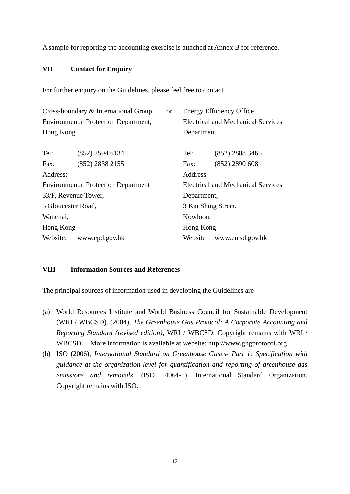A sample for reporting the accounting exercise is attached at Annex B for reference.

## **VII Contact for Enquiry**

For further enquiry on the Guidelines, please feel free to contact

| Cross-boundary & International Group |                                             |  |                                    | <b>Energy Efficiency Office</b>           |  |
|--------------------------------------|---------------------------------------------|--|------------------------------------|-------------------------------------------|--|
|                                      | <b>Environmental Protection Department,</b> |  | Electrical and Mechanical Services |                                           |  |
| Hong Kong                            |                                             |  | Department                         |                                           |  |
| Tel:                                 | $(852)$ 2594 6134                           |  | Tel:                               | (852) 2808 3465                           |  |
| Fax:                                 | (852) 2838 2155                             |  | Fax:                               | $(852)$ 2890 6081                         |  |
| Address:                             |                                             |  | Address:                           |                                           |  |
|                                      | <b>Environmental Protection Department</b>  |  |                                    | <b>Electrical and Mechanical Services</b> |  |
|                                      | 33/F, Revenue Tower,                        |  | Department,                        |                                           |  |
|                                      | 5 Gloucester Road,                          |  | 3 Kai Shing Street,                |                                           |  |
| Wanchai,                             |                                             |  | Kowloon,                           |                                           |  |
| Hong Kong                            |                                             |  | Hong Kong                          |                                           |  |
|                                      | Website:<br>www.epd.gov.hk                  |  |                                    | www.emsd.gov.hk                           |  |

## **VIII Information Sources and References**

The principal sources of information used in developing the Guidelines are-

- (a) World Resources Institute and World Business Council for Sustainable Development (WRI / WBCSD). (2004), *The Greenhouse Gas Protocol: A Corporate Accounting and Reporting Standard (revised edition)*, WRI / WBCSD. Copyright remains with WRI / WBCSD. More information is available at website: http://www.ghgprotocol.org
- (b) ISO (2006), *International Standard on Greenhouse Gases- Part 1: Specification with guidance at the organization level for quantification and reporting of greenhouse gas emissions and removals*, (ISO 14064-1), International Standard Organization. Copyright remains with ISO.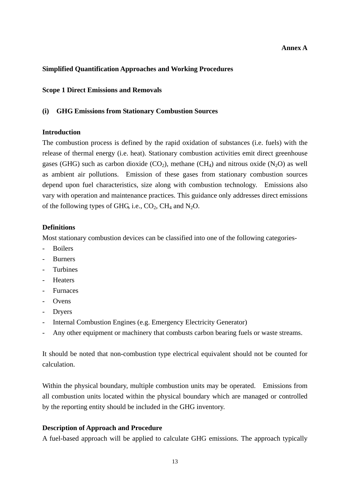#### **Simplified Quantification Approaches and Working Procedures**

#### **Scope 1 Direct Emissions and Removals**

#### **(i) GHG Emissions from Stationary Combustion Sources**

#### **Introduction**

The combustion process is defined by the rapid oxidation of substances (i.e. fuels) with the release of thermal energy (i.e. heat). Stationary combustion activities emit direct greenhouse gases (GHG) such as carbon dioxide (CO<sub>2</sub>), methane (CH<sub>4</sub>) and nitrous oxide (N<sub>2</sub>O) as well as ambient air pollutions. Emission of these gases from stationary combustion sources depend upon fuel characteristics, size along with combustion technology. Emissions also vary with operation and maintenance practices. This guidance only addresses direct emissions of the following types of GHG, i.e.,  $CO<sub>2</sub>$ , CH<sub>4</sub> and N<sub>2</sub>O.

#### **Definitions**

Most stationary combustion devices can be classified into one of the following categories-

- Boilers
- **Burners**
- **Turbines**
- Heaters
- Furnaces
- Ovens
- Dryers
- Internal Combustion Engines (e.g. Emergency Electricity Generator)
- Any other equipment or machinery that combusts carbon bearing fuels or waste streams.

It should be noted that non-combustion type electrical equivalent should not be counted for calculation.

Within the physical boundary, multiple combustion units may be operated. Emissions from all combustion units located within the physical boundary which are managed or controlled by the reporting entity should be included in the GHG inventory.

#### **Description of Approach and Procedure**

A fuel-based approach will be applied to calculate GHG emissions. The approach typically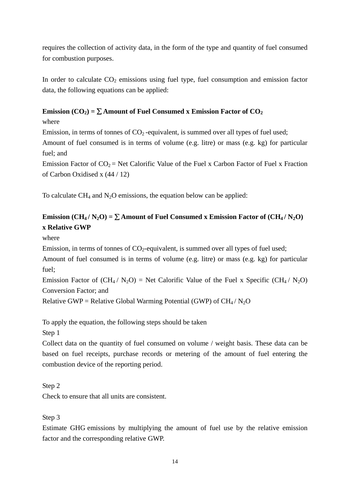requires the collection of activity data, in the form of the type and quantity of fuel consumed for combustion purposes.

In order to calculate  $CO<sub>2</sub>$  emissions using fuel type, fuel consumption and emission factor data, the following equations can be applied:

## **Emission** ( $CO_2$ ) =  $\Sigma$  Amount of Fuel Consumed x Emission Factor of  $CO_2$

where

Emission, in terms of tonnes of  $CO<sub>2</sub>$ -equivalent, is summed over all types of fuel used;

Amount of fuel consumed is in terms of volume (e.g. litre) or mass (e.g. kg) for particular fuel; and

Emission Factor of  $CO_2$  = Net Calorific Value of the Fuel x Carbon Factor of Fuel x Fraction of Carbon Oxidised x (44 / 12)

To calculate  $CH_4$  and  $N_2O$  emissions, the equation below can be applied:

# **Emission** ( $CH_4/N_2O$ ) =  $\Sigma$  Amount of Fuel Consumed x Emission Factor of ( $CH_4/N_2O$ ) **x Relative GWP**

where

Emission, in terms of tonnes of  $CO<sub>2</sub>$ -equivalent, is summed over all types of fuel used;

Amount of fuel consumed is in terms of volume (e.g. litre) or mass (e.g. kg) for particular fuel;

Emission Factor of  $(CH_4 / N_2O)$  = Net Calorific Value of the Fuel x Specific (CH<sub>4</sub> / N<sub>2</sub>O) Conversion Factor; and

Relative GWP = Relative Global Warming Potential (GWP) of  $CH_4/N_2O$ 

To apply the equation, the following steps should be taken

Step 1

Collect data on the quantity of fuel consumed on volume / weight basis. These data can be based on fuel receipts, purchase records or metering of the amount of fuel entering the combustion device of the reporting period.

Step 2

Check to ensure that all units are consistent.

Step 3

Estimate GHG emissions by multiplying the amount of fuel use by the relative emission factor and the corresponding relative GWP.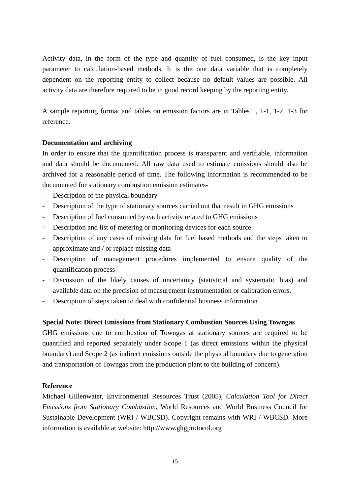Activity data, in the form of the type and quantity of fuel consumed, is the key input parameter to calculation-based methods. It is the one data variable that is completely dependent on the reporting entity to collect because no default values are possible. All activity data are therefore required to be in good record keeping by the reporting entity.

A sample reporting format and tables on emission factors are in Tables 1, 1-1, 1-2, 1-3 for reference.

#### **Documentation and archiving**

In order to ensure that the quantification process is transparent and verifiable, information and data should be documented. All raw data used to estimate emissions should also be archived for a reasonable period of time. The following information is recommended to be documented for stationary combustion emission estimates-

- Description of the physical boundary
- Description of the type of stationary sources carried out that result in GHG emissions
- Description of fuel consumed by each activity related to GHG emissions
- Description and list of metering or monitoring devices for each source
- Description of any cases of missing data for fuel based methods and the steps taken to approximate and / or replace missing data
- Description of management procedures implemented to ensure quality of the quantification process
- Discussion of the likely causes of uncertainty (statistical and systematic bias) and available data on the precision of measurement instrumentation or calibration errors.
- Description of steps taken to deal with confidential business information

## **Special Note: Direct Emissions from Stationary Combustion Sources Using Towngas**

GHG emissions due to combustion of Towngas at stationary sources are required to be quantified and reported separately under Scope 1 (as direct emissions within the physical boundary) and Scope 2 (as indirect emissions outside the physical boundary due to generation and transportation of Towngas from the production plant to the building of concern).

#### **Reference**

Michael Gillenwater, Environmental Resources Trust (2005), *Calculation Tool for Direct Emissions from Stationary Combustion*, World Resources and World Business Council for Sustainable Development (WRI / WBCSD). Copyright remains with WRI / WBCSD. More information is available at website: http://www.ghgprotocol.org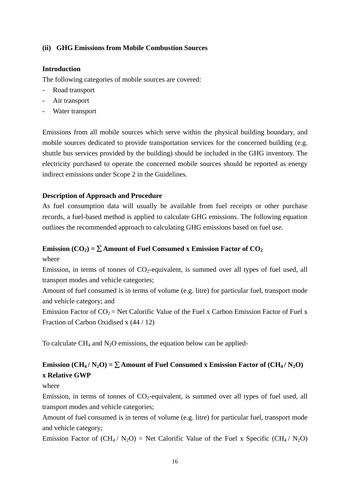#### **(ii) GHG Emissions from Mobile Combustion Sources**

#### **Introduction**

The following categories of mobile sources are covered:

- Road transport
- Air transport
- Water transport

Emissions from all mobile sources which serve within the physical building boundary, and mobile sources dedicated to provide transportation services for the concerned building (e.g. shuttle bus services provided by the building) should be included in the GHG inventory. The electricity purchased to operate the concerned mobile sources should be reported as energy indirect emissions under Scope 2 in the Guidelines.

#### **Description of Approach and Procedure**

As fuel consumption data will usually be available from fuel receipts or other purchase records, a fuel-based method is applied to calculate GHG emissions. The following equation outlines the recommended approach to calculating GHG emissions based on fuel use.

#### **Emission (CO<sub>2</sub>) =**  $\Sigma$  **Amount of Fuel Consumed x Emission Factor of CO<sub>2</sub>**

where

Emission, in terms of tonnes of  $CO_2$ -equivalent, is summed over all types of fuel used, all transport modes and vehicle categories;

Amount of fuel consumed is in terms of volume (e.g. litre) for particular fuel, transport mode and vehicle category; and

Emission Factor of  $CO_2$  = Net Calorific Value of the Fuel x Carbon Emission Factor of Fuel x Fraction of Carbon Oxidised x (44 / 12)

To calculate  $CH_4$  and  $N_2O$  emissions, the equation below can be applied-

## **Emission** (CH<sub>4</sub> / N<sub>2</sub>O) =  $\Sigma$  Amount of Fuel Consumed x Emission Factor of (CH<sub>4</sub> / N<sub>2</sub>O) **x Relative GWP**

where

Emission, in terms of tonnes of  $CO_2$ -equivalent, is summed over all types of fuel used, all transport modes and vehicle categories;

Amount of fuel consumed is in terms of volume (e.g. litre) for particular fuel, transport mode and vehicle category;

Emission Factor of  $(CH_4 / N_2O)$  = Net Calorific Value of the Fuel x Specific (CH<sub>4</sub> / N<sub>2</sub>O)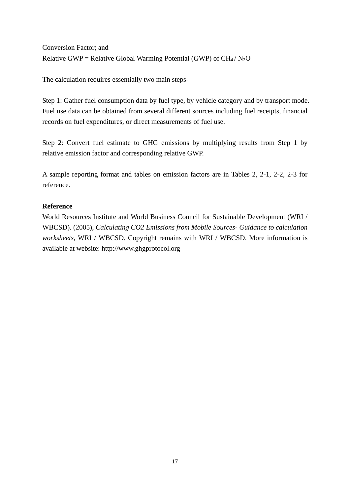Conversion Factor; and Relative GWP = Relative Global Warming Potential (GWP) of  $CH_4/N_2O$ 

The calculation requires essentially two main steps-

Step 1: Gather fuel consumption data by fuel type, by vehicle category and by transport mode. Fuel use data can be obtained from several different sources including fuel receipts, financial records on fuel expenditures, or direct measurements of fuel use.

Step 2: Convert fuel estimate to GHG emissions by multiplying results from Step 1 by relative emission factor and corresponding relative GWP.

A sample reporting format and tables on emission factors are in Tables 2, 2-1, 2-2, 2-3 for reference.

#### **Reference**

World Resources Institute and World Business Council for Sustainable Development (WRI / WBCSD). (2005), *Calculating CO2 Emissions from Mobile Sources- Guidance to calculation worksheets,* WRI / WBCSD. Copyright remains with WRI / WBCSD. More information is available at website: http://www.ghgprotocol.org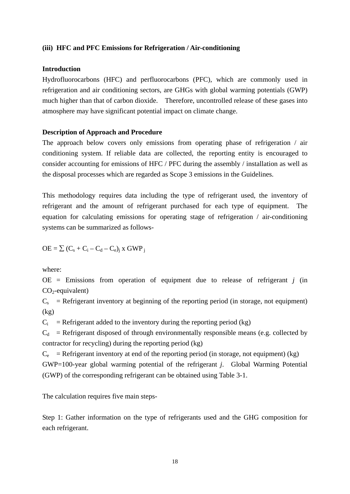#### **(iii) HFC and PFC Emissions for Refrigeration / Air-conditioning**

#### **Introduction**

Hydrofluorocarbons (HFC) and perfluorocarbons (PFC), which are commonly used in refrigeration and air conditioning sectors, are GHGs with global warming potentials (GWP) much higher than that of carbon dioxide. Therefore, uncontrolled release of these gases into atmosphere may have significant potential impact on climate change.

#### **Description of Approach and Procedure**

The approach below covers only emissions from operating phase of refrigeration / air conditioning system. If reliable data are collected, the reporting entity is encouraged to consider accounting for emissions of HFC / PFC during the assembly / installation as well as the disposal processes which are regarded as Scope 3 emissions in the Guidelines.

This methodology requires data including the type of refrigerant used, the inventory of refrigerant and the amount of refrigerant purchased for each type of equipment. The equation for calculating emissions for operating stage of refrigeration / air-conditioning systems can be summarized as follows-

$$
OE = \sum (C_s + C_i - C_d - C_e)_i \times GWP_i
$$

where:

 $OE =$  Emissions from operation of equipment due to release of refrigerant  $j$  (in  $CO<sub>2</sub>$ -equivalent)

 $C_s$  = Refrigerant inventory at beginning of the reporting period (in storage, not equipment)  $(kg)$ 

 $C_i$  = Refrigerant added to the inventory during the reporting period (kg)

 $C_d$  = Refrigerant disposed of through environmentally responsible means (e.g. collected by contractor for recycling) during the reporting period (kg)

 $C_e$  = Refrigerant inventory at end of the reporting period (in storage, not equipment) (kg) GWP=100-year global warming potential of the refrigerant *j*. Global Warming Potential (GWP) of the corresponding refrigerant can be obtained using Table 3-1.

The calculation requires five main steps-

Step 1: Gather information on the type of refrigerants used and the GHG composition for each refrigerant.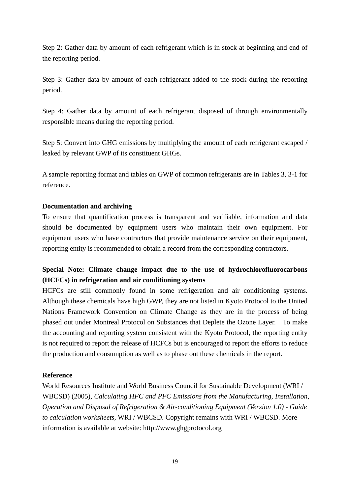Step 2: Gather data by amount of each refrigerant which is in stock at beginning and end of the reporting period.

Step 3: Gather data by amount of each refrigerant added to the stock during the reporting period.

Step 4: Gather data by amount of each refrigerant disposed of through environmentally responsible means during the reporting period.

Step 5: Convert into GHG emissions by multiplying the amount of each refrigerant escaped / leaked by relevant GWP of its constituent GHGs.

A sample reporting format and tables on GWP of common refrigerants are in Tables 3, 3-1 for reference.

#### **Documentation and archiving**

To ensure that quantification process is transparent and verifiable, information and data should be documented by equipment users who maintain their own equipment. For equipment users who have contractors that provide maintenance service on their equipment, reporting entity is recommended to obtain a record from the corresponding contractors.

# **Special Note: Climate change impact due to the use of hydrochlorofluorocarbons (HCFCs) in refrigeration and air conditioning systems**

 phased out under Montreal Protocol on Substances that Deplete the Ozone Layer. To make HCFCs are still commonly found in some refrigeration and air conditioning systems. Although these chemicals have high GWP, they are not listed in Kyoto Protocol to the United Nations Framework Convention on Climate Change as they are in the process of being the accounting and reporting system consistent with the Kyoto Protocol, the reporting entity is not required to report the release of HCFCs but is encouraged to report the efforts to reduce the production and consumption as well as to phase out these chemicals in the report.

## **Reference**

World Resources Institute and World Business Council for Sustainable Development (WRI / WBCSD) (2005), *Calculating HFC and PFC Emissions from the Manufacturing, Installation, Operation and Disposal of Refrigeration & Air-conditioning Equipment (Version 1.0) - Guide to calculation worksheets*, WRI / WBCSD. Copyright remains with WRI / WBCSD. More information is available at website: http://www.ghgprotocol.org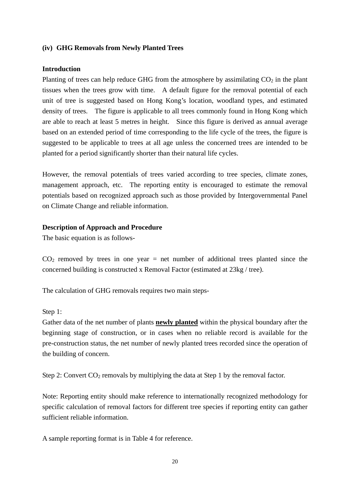#### **(iv) GHG Removals from Newly Planted Trees**

#### **Introduction**

Planting of trees can help reduce GHG from the atmosphere by assimilating  $CO<sub>2</sub>$  in the plant tissues when the trees grow with time. A default figure for the removal potential of each unit of tree is suggested based on Hong Kong's location, woodland types, and estimated density of trees. The figure is applicable to all trees commonly found in Hong Kong which are able to reach at least 5 metres in height. Since this figure is derived as annual average based on an extended period of time corresponding to the life cycle of the trees, the figure is suggested to be applicable to trees at all age unless the concerned trees are intended to be planted for a period significantly shorter than their natural life cycles.

However, the removal potentials of trees varied according to tree species, climate zones, management approach, etc. The reporting entity is encouraged to estimate the removal potentials based on recognized approach such as those provided by Intergovernmental Panel on Climate Change and reliable information.

#### **Description of Approach and Procedure**

The basic equation is as follows-

 $CO<sub>2</sub>$  removed by trees in one year = net number of additional trees planted since the concerned building is constructed x Removal Factor (estimated at 23kg / tree).

The calculation of GHG removals requires two main steps-

#### Step 1:

Gather data of the net number of plants **newly planted** within the physical boundary after the beginning stage of construction, or in cases when no reliable record is available for the pre-construction status, the net number of newly planted trees recorded since the operation of the building of concern.

Step 2: Convert  $CO_2$  removals by multiplying the data at Step 1 by the removal factor.

Note: Reporting entity should make reference to internationally recognized methodology for specific calculation of removal factors for different tree species if reporting entity can gather sufficient reliable information.

A sample reporting format is in Table 4 for reference.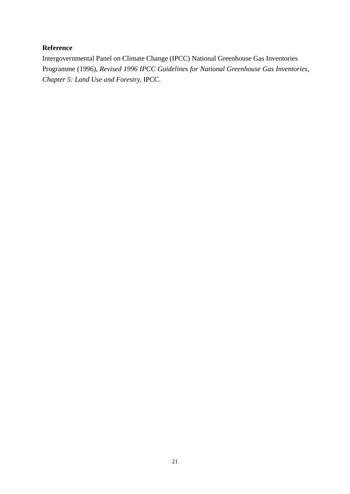#### **Reference**

Intergovernmental Panel on Climate Change (IPCC) National Greenhouse Gas Inventories Programme (1996), *Revised 1996 IPCC Guidelines for National Greenhouse Gas Inventories, Chapter 5: Land Use and Forestry,* IPCC.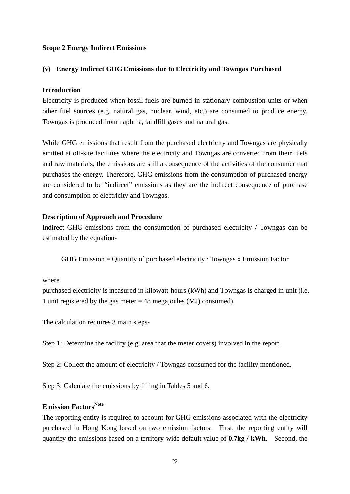#### **Scope 2 Energy Indirect Emissions**

#### **(v) Energy Indirect GHG Emissions due to Electricity and Towngas Purchased**

#### **Introduction**

Electricity is produced when fossil fuels are burned in stationary combustion units or when other fuel sources (e.g. natural gas, nuclear, wind, etc.) are consumed to produce energy. Towngas is produced from naphtha, landfill gases and natural gas.

While GHG emissions that result from the purchased electricity and Towngas are physically emitted at off-site facilities where the electricity and Towngas are converted from their fuels and raw materials, the emissions are still a consequence of the activities of the consumer that purchases the energy. Therefore, GHG emissions from the consumption of purchased energy are considered to be "indirect" emissions as they are the indirect consequence of purchase and consumption of electricity and Towngas.

#### **Description of Approach and Procedure**

Indirect GHG emissions from the consumption of purchased electricity / Towngas can be estimated by the equation-

GHG Emission = Quantity of purchased electricity / Towngas x Emission Factor

#### where

purchased electricity is measured in kilowatt-hours (kWh) and Towngas is charged in unit (i.e. 1 unit registered by the gas meter  $= 48$  megajoules (MJ) consumed).

The calculation requires 3 main steps-

Step 1: Determine the facility (e.g. area that the meter covers) involved in the report.

Step 2: Collect the amount of electricity / Towngas consumed for the facility mentioned.

Step 3: Calculate the emissions by filling in Tables 5 and 6.

#### **Emission Factors<sup>Note</sup>**

The reporting entity is required to account for GHG emissions associated with the electricity purchased in Hong Kong based on two emission factors. First, the reporting entity will quantify the emissions based on a territory-wide default value of **0.7kg / kWh**. Second, the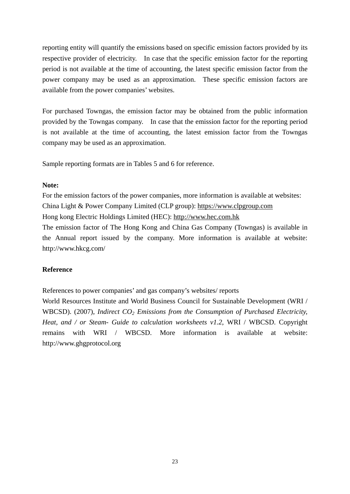reporting entity will quantify the emissions based on specific emission factors provided by its respective provider of electricity. In case that the specific emission factor for the reporting period is not available at the time of accounting, the latest specific emission factor from the power company may be used as an approximation. These specific emission factors are available from the power companies' websites.

 provided by the Towngas company. In case that the emission factor for the reporting period For purchased Towngas, the emission factor may be obtained from the public information is not available at the time of accounting, the latest emission factor from the Towngas company may be used as an approximation.

Sample reporting formats are in Tables 5 and 6 for reference.

#### **Note:**

For the emission factors of the power companies, more information is available at websites: China Light & Power Company Limited (CLP group): [https://www.clpgroup.com](https://www.clpgroup.com/)

Hong kong Electric Holdings Limited (HEC): [http://www.hec.com.hk](http://www.hec.com.hk/)

The emission factor of The Hong Kong and China Gas Company (Towngas) is available in the Annual report issued by the company. More information is available at website: http://www.hkcg.com/

## **Reference**

References to power companies' and gas company's websites/ reports

World Resources Institute and World Business Council for Sustainable Development (WRI / WBCSD). (2007), *Indirect CO<sub>2</sub> Emissions from the Consumption of Purchased Electricity*, *Heat, and / or Steam- Guide to calculation worksheets v1.2*, WRI / WBCSD. Copyright remains with WRI / WBCSD. More information is available at website: http://www.ghgprotocol.org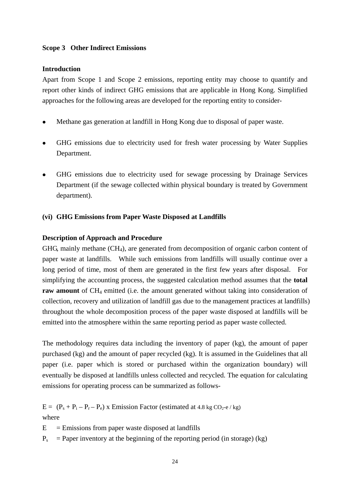#### **Scope 3 Other Indirect Emissions**

#### **Introduction**

Apart from Scope 1 and Scope 2 emissions, reporting entity may choose to quantify and report other kinds of indirect GHG emissions that are applicable in Hong Kong. Simplified approaches for the following areas are developed for the reporting entity to consider-

- Methane gas generation at landfill in Hong Kong due to disposal of paper waste.
- GHG emissions due to electricity used for fresh water processing by Water Supplies Department.
- GHG emissions due to electricity used for sewage processing by Drainage Services Department (if the sewage collected within physical boundary is treated by Government department).

#### **(vi) GHG Emissions from Paper Waste Disposed at Landfills**

#### **Description of Approach and Procedure**

GHG, mainly methane  $(CH<sub>4</sub>)$ , are generated from decomposition of organic carbon content of paper waste at landfills. While such emissions from landfills will usually continue over a long period of time, most of them are generated in the first few years after disposal. For simplifying the accounting process, the suggested calculation method assumes that the **total raw amount** of CH<sub>4</sub> emitted (i.e. the amount generated without taking into consideration of collection, recovery and utilization of landfill gas due to the management practices at landfills) throughout the whole decomposition process of the paper waste disposed at landfills will be emitted into the atmosphere within the same reporting period as paper waste collected.

The methodology requires data including the inventory of paper (kg), the amount of paper purchased (kg) and the amount of paper recycled (kg). It is assumed in the Guidelines that all paper (i.e. paper which is stored or purchased within the organization boundary) will eventually be disposed at landfills unless collected and recycled. The equation for calculating emissions for operating process can be summarized as follows-

 $E = (P_s + P_i - P_r - P_e)$  x Emission Factor (estimated at 4.8 kg CO<sub>2</sub>-e / kg) where

 $E =$  Emissions from paper waste disposed at landfills

 $P_s$  = Paper inventory at the beginning of the reporting period (in storage) (kg)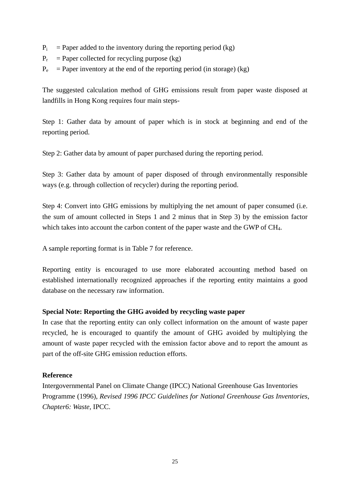- $P_i$  = Paper added to the inventory during the reporting period (kg)
- $P_r$  = Paper collected for recycling purpose (kg)
- $P_e$  = Paper inventory at the end of the reporting period (in storage) (kg)

The suggested calculation method of GHG emissions result from paper waste disposed at landfills in Hong Kong requires four main steps-

Step 1: Gather data by amount of paper which is in stock at beginning and end of the reporting period.

Step 2: Gather data by amount of paper purchased during the reporting period.

Step 3: Gather data by amount of paper disposed of through environmentally responsible ways (e.g. through collection of recycler) during the reporting period.

Step 4: Convert into GHG emissions by multiplying the net amount of paper consumed (i.e. the sum of amount collected in Steps 1 and 2 minus that in Step 3) by the emission factor which takes into account the carbon content of the paper waste and the GWP of CH<sub>4</sub>.

A sample reporting format is in Table 7 for reference.

Reporting entity is encouraged to use more elaborated accounting method based on established internationally recognized approaches if the reporting entity maintains a good database on the necessary raw information.

## **Special Note: Reporting the GHG avoided by recycling waste paper**

In case that the reporting entity can only collect information on the amount of waste paper recycled, he is encouraged to quantify the amount of GHG avoided by multiplying the amount of waste paper recycled with the emission factor above and to report the amount as part of the off-site GHG emission reduction efforts.

## **Reference**

Intergovernmental Panel on Climate Change (IPCC) National Greenhouse Gas Inventories Programme (1996), *Revised 1996 IPCC Guidelines for National Greenhouse Gas Inventories, Chapter6: Waste,* IPCC.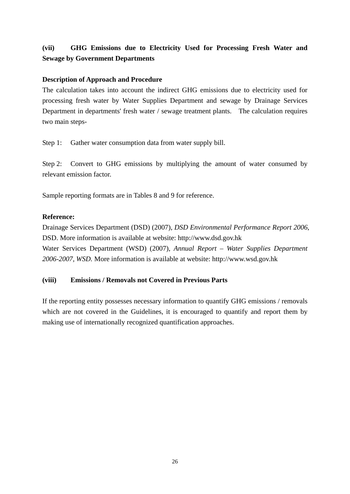# **(vii) GHG Emissions due to Electricity Used for Processing Fresh Water and Sewage by Government Departments**

## **Description of Approach and Procedure**

The calculation takes into account the indirect GHG emissions due to electricity used for processing fresh water by Water Supplies Department and sewage by Drainage Services Department in departments' fresh water / sewage treatment plants. The calculation requires two main steps-

Step 1: Gather water consumption data from water supply bill.

Step 2: Convert to GHG emissions by multiplying the amount of water consumed by relevant emission factor.

Sample reporting formats are in Tables 8 and 9 for reference.

#### **Reference:**

Drainage Services Department (DSD) (2007), *DSD Environmental Performance Report 2006*, DSD. More information is available at website: http://www.dsd.gov.hk Water Services Department (WSD) (2007), *Annual Report – Water Supplies Department 2006-2007, WSD.* More information is available at website: http://www.wsd.gov.hk

#### **(viii) Emissions / Removals not Covered in Previous Parts**

If the reporting entity possesses necessary information to quantify GHG emissions / removals which are not covered in the Guidelines, it is encouraged to quantify and report them by making use of internationally recognized quantification approaches.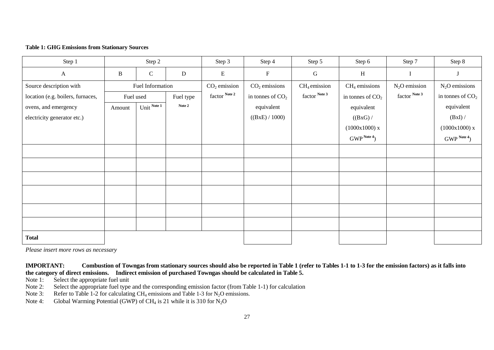#### **Table 1: GHG Emissions from Stationary Sources**

| Step 1                            | Step 2       |                  |           | Step 3         | Step 4                    | Step 5         | Step 6                | Step 7          | Step 8                |
|-----------------------------------|--------------|------------------|-----------|----------------|---------------------------|----------------|-----------------------|-----------------|-----------------------|
| $\mathbf{A}$                      | $\, {\bf B}$ | $\mathsf{C}$     | ${\bf D}$ | ${\bf E}$      | $\boldsymbol{\mathrm{F}}$ | $\mathsf G$    | $\, {\rm H}$          |                 |                       |
| Source description with           |              | Fuel Information |           | $CO2$ emission | $CO2$ emissions           | $CH4$ emission | $CH4$ emissions       | $N_2O$ emission | $N_2O$ emissions      |
| location (e.g. boilers, furnaces, | Fuel used    |                  | Fuel type | factor Note 2  | in tonnes of $CO2$        | factor Note 3  | in tonnes of $CO2$    | factor Note 3   | in tonnes of $CO2$    |
| ovens, and emergency              | Amount       | Unit Note 1      | Note 2    |                | equivalent                |                | equivalent            |                 | equivalent            |
| electricity generator etc.)       |              |                  |           |                | ((BxE) / 1000)            |                | ((BxG) /              |                 | (BxI) /               |
|                                   |              |                  |           |                |                           |                | (1000x1000)x          |                 | (1000x1000)x          |
|                                   |              |                  |           |                |                           |                | GWP <sup>Note 4</sup> |                 | GWP <sup>Note 4</sup> |
|                                   |              |                  |           |                |                           |                |                       |                 |                       |
|                                   |              |                  |           |                |                           |                |                       |                 |                       |
|                                   |              |                  |           |                |                           |                |                       |                 |                       |
|                                   |              |                  |           |                |                           |                |                       |                 |                       |
|                                   |              |                  |           |                |                           |                |                       |                 |                       |
|                                   |              |                  |           |                |                           |                |                       |                 |                       |
| <b>Total</b>                      |              |                  |           |                |                           |                |                       |                 |                       |

 *Please insert more rows as necessary* 

#### **IMPORTANT: Combustion of Towngas from stationary sources should also be reported in Table 1 (refer to Tables 1-1 to 1-3 for the emission factors) as it falls into the category of direct emissions. Indirect emission of purchased Towngas should be calculated in Table 5.**

Note 1: Select the appropriate fuel unit

Note 2: Select the appropriate fuel type and the corresponding emission factor (from Table 1-1) for calculation

Note 3: Refer to Table 1-2 for calculating  $CH_4$  emissions and Table 1-3 for N<sub>2</sub>O emissions.

Note 4: Global Warming Potential (GWP) of  $CH_4$  is 21 while it is 310 for N<sub>2</sub>O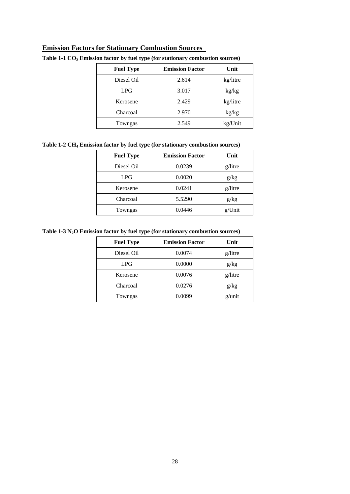## **Emission Factors for Stationary Combustion Sources**

| <b>Fuel Type</b> | <b>Emission Factor</b> | Unit     |
|------------------|------------------------|----------|
| Diesel Oil       | 2.614                  | kg/litre |
| LPG              | 3.017                  | kg/kg    |
| Kerosene         | 2.429                  | kg/litre |
| Charcoal         | 2.970                  | kg/kg    |
| Towngas          | 2.549                  | kg/Unit  |

#### Table 1-1 CO<sub>2</sub> Emission factor by fuel type (for stationary combustion sources)

**Table 1-2 CH4 Emission factor by fuel type (for stationary combustion sources)** 

| <b>Fuel Type</b> | <b>Emission Factor</b> | Unit    |
|------------------|------------------------|---------|
| Diesel Oil       | 0.0239                 | g/litre |
| LPG              | 0.0020                 | g/kg    |
| Kerosene         | 0.0241                 | g/litre |
| Charcoal         | 5.5290                 | g/kg    |
| Towngas          | 0.0446                 | g/Unit  |

**Table 1-3 N2O Emission factor by fuel type (for stationary combustion sources)** 

| <b>Fuel Type</b> | <b>Emission Factor</b> | Unit    |
|------------------|------------------------|---------|
| Diesel Oil       | 0.0074                 | g/litre |
| LPG              | 0.0000                 | g/kg    |
| Kerosene         | 0.0076                 | g/litre |
| Charcoal         | 0.0276                 | g/kg    |
| Towngas          | 0.0099                 | g/unit  |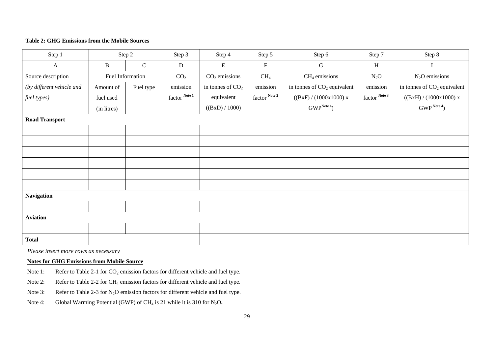#### **Table 2: GHG Emissions from the Mobile Sources**

| Step 1                    |              | Step 2           | Step 3                            | Step 4             | Step 5          | Step 6                        | Step 7        | Step 8                        |
|---------------------------|--------------|------------------|-----------------------------------|--------------------|-----------------|-------------------------------|---------------|-------------------------------|
| $\mathbf{A}$              | $\, {\bf B}$ | $\mathsf{C}$     | ${\bf D}$                         | E                  | $\mathbf F$     | G                             | $\, {\rm H}$  | Ι                             |
| Source description        |              | Fuel Information | CO <sub>2</sub>                   | $CO2$ emissions    | CH <sub>4</sub> | $CH4$ emissions               | $N_2O$        | $N_2O$ emissions              |
| (by different vehicle and | Amount of    | Fuel type        | emission                          | in tonnes of $CO2$ | emission        | in tonnes of $CO2$ equivalent | emission      | in tonnes of $CO2$ equivalent |
| fuel types)               | fuel used    |                  | $\mbox{factor}^{\ \mbox{Note 1}}$ | equivalent         | factor Note 2   | ((BxF)/(1000x1000)x)          | factor Note 3 | ((BxH)/(1000x1000)x)          |
|                           | (in litres)  |                  |                                   | ((BxD) / 1000)     |                 | GWP <sup>Note 4</sup> )       |               | GWP <sup>Note 4</sup> )       |
| <b>Road Transport</b>     |              |                  |                                   |                    |                 |                               |               |                               |
|                           |              |                  |                                   |                    |                 |                               |               |                               |
|                           |              |                  |                                   |                    |                 |                               |               |                               |
|                           |              |                  |                                   |                    |                 |                               |               |                               |
|                           |              |                  |                                   |                    |                 |                               |               |                               |
|                           |              |                  |                                   |                    |                 |                               |               |                               |
|                           |              |                  |                                   |                    |                 |                               |               |                               |
| <b>Navigation</b>         |              |                  |                                   |                    |                 |                               |               |                               |
|                           |              |                  |                                   |                    |                 |                               |               |                               |
| <b>Aviation</b>           |              |                  |                                   |                    |                 |                               |               |                               |
|                           |              |                  |                                   |                    |                 |                               |               |                               |
| <b>Total</b>              |              |                  |                                   |                    |                 |                               |               |                               |

*Please insert more rows as necessary* 

#### **Notes for GHG Emissions from Mobile Source**

- Note 1: Refer to Table 2-1 for  $CO_2$  emission factors for different vehicle and fuel type.
- Note 2: Refer to Table 2-2 for CH<sub>4</sub> emission factors for different vehicle and fuel type.
- Note 3: Refer to Table 2-3 for  $N_2O$  emission factors for different vehicle and fuel type.
- Note 4: Global Warming Potential (GWP) of CH<sub>4</sub> is 21 while it is 310 for N<sub>2</sub>O.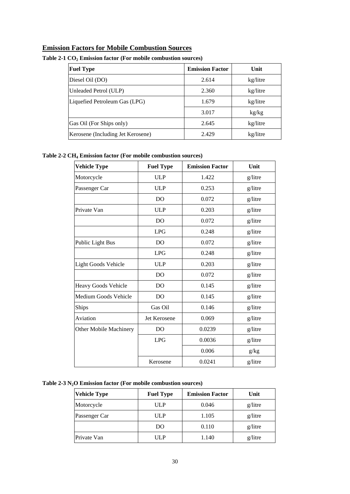## **Emission Factors for Mobile Combustion Sources**

| <b>Fuel Type</b>                  | <b>Emission Factor</b> | Unit     |
|-----------------------------------|------------------------|----------|
| Diesel Oil (DO)                   | 2.614                  | kg/litre |
| Unleaded Petrol (ULP)             | 2.360                  | kg/litre |
| Liquefied Petroleum Gas (LPG)     | 1.679                  | kg/litre |
|                                   | 3.017                  | kg/kg    |
| Gas Oil (For Ships only)          | 2.645                  | kg/litre |
| Kerosene (Including Jet Kerosene) | 2.429                  | kg/litre |

#### Table 2-1 CO<sub>2</sub> Emission factor (For mobile combustion sources)

#### **Table 2-2 CH4 Emission factor (For mobile combustion sources)**

| <b>Vehicle Type</b>        | <b>Fuel Type</b> | <b>Emission Factor</b> | Unit    |
|----------------------------|------------------|------------------------|---------|
| Motorcycle                 | <b>ULP</b>       | 1.422                  | g/litre |
| Passenger Car              | <b>ULP</b>       | 0.253                  | g/litre |
|                            | D <sub>O</sub>   | 0.072                  | g/litre |
| Private Van                | <b>ULP</b>       | 0.203                  | g/litre |
|                            | D <sub>O</sub>   | 0.072                  | g/litre |
|                            | <b>LPG</b>       | 0.248                  | g/litre |
| Public Light Bus           | D <sub>O</sub>   | 0.072                  | g/litre |
|                            | <b>LPG</b>       | 0.248                  | g/litre |
| <b>Light Goods Vehicle</b> | <b>ULP</b>       | 0.203                  | g/litre |
|                            | D <sub>O</sub>   | 0.072                  | g/litre |
| Heavy Goods Vehicle        | D <sub>O</sub>   | 0.145                  | g/litre |
| Medium Goods Vehicle       | D <sub>O</sub>   | 0.145                  | g/litre |
| Ships                      | Gas Oil          | 0.146                  | g/litre |
| Aviation                   | Jet Kerosene     | 0.069                  | g/litre |
| Other Mobile Machinery     | D <sub>O</sub>   | 0.0239                 | g/litre |
|                            | <b>LPG</b>       | 0.0036                 | g/litre |
|                            |                  | 0.006                  | g/kg    |
|                            | Kerosene         | 0.0241                 | g/litre |

## **Table 2-3 N2O Emission factor (For mobile combustion sources)**

| <b>Vehicle Type</b> | <b>Fuel Type</b> | <b>Emission Factor</b> | Unit    |
|---------------------|------------------|------------------------|---------|
| Motorcycle          | ULP              | 0.046                  | g/litre |
| Passenger Car       | ULP              | 1.105                  | g/litre |
|                     | DO               | 0.110                  | g/litre |
| Private Van         | ULP              | 1.140                  | g/litre |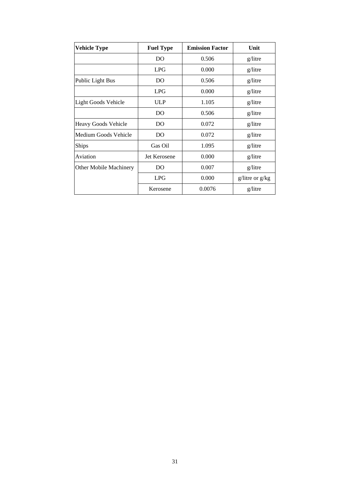| <b>Vehicle Type</b>    | <b>Fuel Type</b> | <b>Emission Factor</b> | Unit            |
|------------------------|------------------|------------------------|-----------------|
|                        | DO               | 0.506                  | g/litre         |
|                        | <b>LPG</b>       | 0.000                  | g/litre         |
| Public Light Bus       | DO               | 0.506                  | g/litre         |
|                        | LPG              | 0.000                  | g/litre         |
| Light Goods Vehicle    | <b>ULP</b>       | 1.105                  | g/litre         |
|                        | DO               | 0.506                  | g/litre         |
| Heavy Goods Vehicle    | DO               | 0.072                  | g/litre         |
| Medium Goods Vehicle   | DO               | 0.072                  | g/litre         |
| <b>Ships</b>           | Gas Oil          | 1.095                  | g/litre         |
| Aviation               | Jet Kerosene     | 0.000                  | g/litre         |
| Other Mobile Machinery | DO               | 0.007                  | g/litre         |
|                        | LPG              | 0.000                  | $g/l$ at $g/kg$ |
|                        | Kerosene         | 0.0076                 | g/litre         |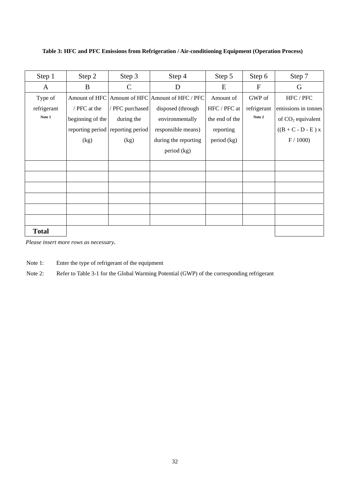**Table 3: HFC and PFC Emissions from Refrigeration / Air-conditioning Equipment (Operation Process)** 

| Step 1       | Step 2           | Step 3                            | Step 4                                          | Step 5         | Step 6       | Step 7                    |
|--------------|------------------|-----------------------------------|-------------------------------------------------|----------------|--------------|---------------------------|
| A            | B                | $\mathsf{C}$                      | D                                               | E              | $\mathbf{F}$ | G                         |
| Type of      |                  |                                   | Amount of HFC Amount of HFC Amount of HFC / PFC | Amount of      | GWP of       | ${\rm HFC}$ / ${\rm PFC}$ |
| refrigerant  | / PFC at the     | / PFC purchased                   | disposed (through                               | HFC / PFC at   | refrigerant  | emissions in tonnes       |
| Note 1       | beginning of the | during the                        | environmentally                                 | the end of the | Note 2       | of $CO2$ equivalent       |
|              |                  | reporting period reporting period | responsible means)                              | reporting      |              | $((B + C - D - E) x)$     |
|              | (kg)             | (kg)                              | during the reporting                            | period (kg)    |              | $\mathrm{F}$ / 1000)      |
|              |                  |                                   | period (kg)                                     |                |              |                           |
|              |                  |                                   |                                                 |                |              |                           |
|              |                  |                                   |                                                 |                |              |                           |
|              |                  |                                   |                                                 |                |              |                           |
|              |                  |                                   |                                                 |                |              |                           |
|              |                  |                                   |                                                 |                |              |                           |
|              |                  |                                   |                                                 |                |              |                           |
| <b>Total</b> |                  |                                   |                                                 |                |              |                           |

*Please insert more rows as necessary.* 

Note 1: Enter the type of refrigerant of the equipment

Note 2: Refer to Table 3-1 for the Global Warming Potential (GWP) of the corresponding refrigerant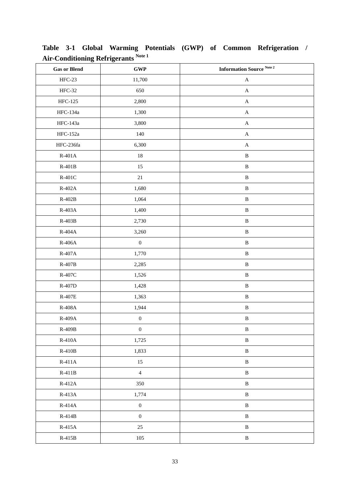| ∽<br><b>Gas or Blend</b> | ∽<br>$\ensuremath{\mathbf{GWP}}$ | Information Source $^{\rm Note\,2}$ |
|--------------------------|----------------------------------|-------------------------------------|
| HFC-23                   | 11,700                           | $\mathbf A$                         |
| <b>HFC-32</b>            | 650                              | $\mathbf A$                         |
| HFC-125                  | 2,800                            | $\mathbf A$                         |
| HFC-134a                 | 1,300                            | $\boldsymbol{\mathsf{A}}$           |
| HFC-143a                 | 3,800                            | $\mathbf A$                         |
| <b>HFC-152a</b>          | 140                              | $\mathbf A$                         |
| HFC-236fa                | 6,300                            | $\boldsymbol{\mathsf{A}}$           |
| $R-401A$                 | 18                               | $\, {\bf B}$                        |
| $R-401B$                 | 15                               | $\, {\bf B}$                        |
| $R-401C$                 | $21\,$                           | $\, {\bf B}$                        |
| R-402A                   | 1,680                            | $\, {\bf B}$                        |
| $R-402B$                 | 1,064                            | $\, {\bf B}$                        |
| $R-403A$                 | 1,400                            | $\, {\bf B}$                        |
| $R-403B$                 | 2,730                            | $\, {\bf B}$                        |
| $R-404A$                 | 3,260                            | $\, {\bf B}$                        |
| $R-406A$                 | $\boldsymbol{0}$                 | $\, {\bf B}$                        |
| $R-407A$                 | 1,770                            | $\, {\bf B}$                        |
| $R-407B$                 | 2,285                            | $\, {\bf B}$                        |
| $R-407C$                 | 1,526                            | $\, {\bf B}$                        |
| R-407D                   | 1,428                            | $\, {\bf B}$                        |
| <b>R-407E</b>            | 1,363                            | $\, {\bf B}$                        |
| R-408A                   | 1,944                            | $\, {\bf B}$                        |
| R-409A                   | $\boldsymbol{0}$                 | $\, {\bf B}$                        |
| $R-409B$                 | $\boldsymbol{0}$                 | $\, {\bf B}$                        |
| $R-410A$                 | 1,725                            | $\, {\bf B}$                        |
| $R-410B$                 | 1,833                            | $\, {\bf B}$                        |
| $R-411A$                 | 15                               | $\, {\bf B}$                        |
| $R-411B$                 | $\overline{4}$                   | $\, {\bf B}$                        |
| $R-412A$                 | 350                              | $\, {\bf B}$                        |
| $R-413A$                 | 1,774                            | $\, {\bf B}$                        |
| $R-414A$                 | $\boldsymbol{0}$                 | $\, {\bf B}$                        |
| $R-414B$                 | $\boldsymbol{0}$                 | $\, {\bf B}$                        |
| $R-415A$                 | $25\,$                           | $\, {\bf B}$                        |
| $R-415B$                 | $105\,$                          | $\, {\bf B}$                        |

**Table 3-1 Global Warming Potentials (GWP) of Common Refrigeration / Air-Conditioning Refrigerants Note 1**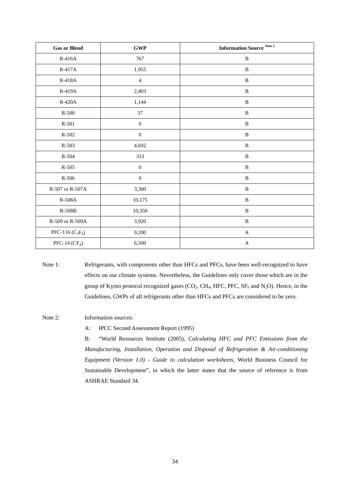| <b>Gas or Blend</b> | $\ensuremath{\mathbf{GWP}}$ | Information Source $^{\rm Note\,2}$ |
|---------------------|-----------------------------|-------------------------------------|
| $R-416A$            | 767                         | $\, {\bf B}$                        |
| R-417A              | 1,955                       | $\, {\bf B}$                        |
| R-418A              | $\overline{4}$              | $\, {\bf B}$                        |
| R-419A              | 2,403                       | $\, {\bf B}$                        |
| $R-420A$            | 1,144                       | $\, {\bf B}$                        |
| $R-500$             | 37                          | $\, {\bf B}$                        |
| $R-501$             | $\boldsymbol{0}$            | $\, {\bf B}$                        |
| $R-502$             | $\boldsymbol{0}$            | $\, {\bf B}$                        |
| R-503               | 4,692                       | $\, {\bf B}$                        |
| $R - 504$           | 313                         | $\, {\bf B}$                        |
| $R-505$             | $\boldsymbol{0}$            | $\, {\bf B}$                        |
| $R-506$             | $\boldsymbol{0}$            | $\, {\bf B}$                        |
| R-507 or R-507A     | 3,300                       | $\, {\bf B}$                        |
| R-508A              | 10,175                      | $\, {\bf B}$                        |
| $R-508B$            | 10,350                      | $\, {\bf B}$                        |
| R-509 or R-509A     | 3,920                       | $\, {\bf B}$                        |
| PFC-116 $(C_2F_6)$  | 9,200                       | $\mathbf{A}$                        |
| PFC-14 $(CF_4)$     | 6,500                       | $\mathbf A$                         |

Note 1: Refrigerants, with components other than HFCs and PFCs, have been well-recognized to have effects on our climate systems. Nevertheless, the Guidelines only cover those which are in the group of Kyoto protocol recognized gases  $(CO_2, CH_4, HFC, PFC, SF_6$  and  $N_2O$ ). Hence, in the Guidelines, GWPs of all refrigerants other than HFCs and PFCs are considered to be zero.

Note 2: Information sources:

A: IPCC Second Assessment Report (1995)

B: "World Resources Institute (2005), *Calculating HFC and PFC Emissions from the Manufacturing, Installation, Operation and Disposal of Refrigeration & Air-conditioning Equipment (Version 1.0) - Guide to calculation worksheets*, World Business Council for Sustainable Development", in which the latter states that the source of reference is from ASHRAE Standard 34.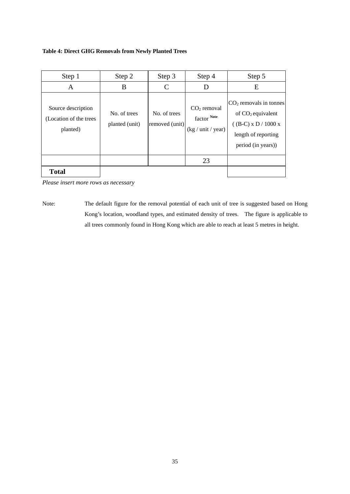#### **Table 4: Direct GHG Removals from Newly Planted Trees**

| Step 1                                                   | Step 2                         | Step 3                         | Step 4                                             | Step 5                                                                                                                 |
|----------------------------------------------------------|--------------------------------|--------------------------------|----------------------------------------------------|------------------------------------------------------------------------------------------------------------------------|
| A                                                        | B                              | C                              | D                                                  | Ε                                                                                                                      |
| Source description<br>(Location of the trees<br>planted) | No. of trees<br>planted (unit) | No. of trees<br>removed (unit) | $CO2$ removal<br>factor Note<br>(kg / unit / year) | $CO2$ removals in tonnes<br>of $CO2$ equivalent<br>( $(B-C)$ x D / 1000 x<br>length of reporting<br>period (in years)) |
|                                                          |                                |                                | 23                                                 |                                                                                                                        |
| <b>Total</b>                                             |                                |                                |                                                    |                                                                                                                        |

 *Please insert more rows as necessary* 

Note: The default figure for the removal potential of each unit of tree is suggested based on Hong Kong's location, woodland types, and estimated density of trees. The figure is applicable to all trees commonly found in Hong Kong which are able to reach at least 5 metres in height.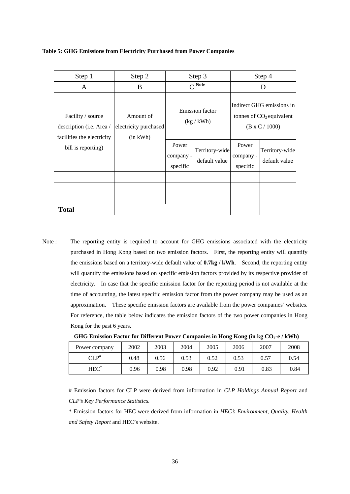**Table 5: GHG Emissions from Electricity Purchased from Power Companies** 

| Step 1                                                                      | Step 2                                         |                                | Step 3                               |                                | Step 4                                                                           |
|-----------------------------------------------------------------------------|------------------------------------------------|--------------------------------|--------------------------------------|--------------------------------|----------------------------------------------------------------------------------|
| A                                                                           | B                                              |                                | $C^{Note}$                           |                                |                                                                                  |
| Facility / source<br>description (i.e. Area /<br>facilities the electricity | Amount of<br>electricity purchased<br>(in kWh) |                                | <b>Emission</b> factor<br>(kg / kWh) |                                | Indirect GHG emissions in<br>tonnes of $CO2$ equivalent<br>$(B \times C / 1000)$ |
| bill is reporting)                                                          |                                                | Power<br>company -<br>specific | Territory-wide<br>default value      | Power<br>company -<br>specific | Territory-wide<br>default value                                                  |
|                                                                             |                                                |                                |                                      |                                |                                                                                  |
|                                                                             |                                                |                                |                                      |                                |                                                                                  |
|                                                                             |                                                |                                |                                      |                                |                                                                                  |
| <b>Total</b>                                                                |                                                |                                |                                      |                                |                                                                                  |

 the emissions based on a territory-wide default value of **0.7kg / kWh**. Second, the reporting entity will quantify the emissions based on specific emission factors provided by its respective provider of approximation. These specific emission factors are available from the power companies' websites. For reference, the table below indicates the emission factors of the two power companies in Hong Note : The reporting entity is required to account for GHG emissions associated with the electricity purchased in Hong Kong based on two emission factors. First, the reporting entity will quantify electricity. In case that the specific emission factor for the reporting period is not available at the time of accounting, the latest specific emission factor from the power company may be used as an Kong for the past 6 years.

| GHG Emission Factor for Different Power Companies in Hong Kong (in kg $CO2$ -e / kWh) |  |  |  |  |
|---------------------------------------------------------------------------------------|--|--|--|--|
|                                                                                       |  |  |  |  |

| Power company      | 2002 | 2003 | 2004 | 2005 | 2006 | 2007 | 2008 |
|--------------------|------|------|------|------|------|------|------|
| $\cap$ i d#        | 0.48 | 0.56 | 0.53 | 0.52 | 0.53 | 0.57 | 0.54 |
| $HEC$ <sup>*</sup> | 0.96 | 0.98 | 0.98 | 0.92 | 0.91 | 0.83 | 0.84 |

# Emission factors for CLP were derived from information in *CLP Holdings Annual Report* and *CLP's Key Performance Statistics.* 

\* Emission factors for HEC were derived from information in *HEC's Environment, Quality, Health and Safety Report* and HEC's website.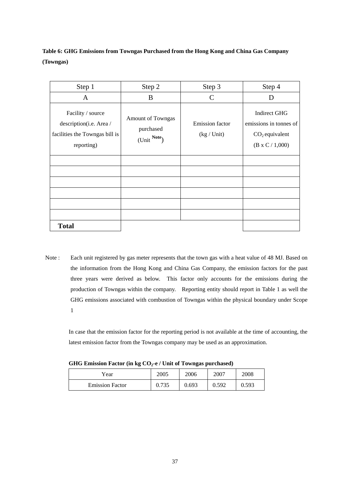**Table 6: GHG Emissions from Towngas Purchased from the Hong Kong and China Gas Company (Towngas)** 

| Step 1                                                                                       | Step 2                                               | Step 3                         | Step 4                                                                                      |
|----------------------------------------------------------------------------------------------|------------------------------------------------------|--------------------------------|---------------------------------------------------------------------------------------------|
| A                                                                                            | B                                                    | $\mathcal{C}$                  | D                                                                                           |
| Facility / source<br>description(i.e. Area /<br>facilities the Towngas bill is<br>reporting) | <b>Amount of Towngas</b><br>purchased<br>(Unit Note) | Emission factor<br>(kg / Unit) | <b>Indirect GHG</b><br>emissions in tonnes of<br>$CO2$ equivalent<br>$(B \times C / 1,000)$ |
|                                                                                              |                                                      |                                |                                                                                             |
|                                                                                              |                                                      |                                |                                                                                             |
|                                                                                              |                                                      |                                |                                                                                             |
|                                                                                              |                                                      |                                |                                                                                             |
|                                                                                              |                                                      |                                |                                                                                             |
|                                                                                              |                                                      |                                |                                                                                             |
| <b>Total</b>                                                                                 |                                                      |                                |                                                                                             |

 three years were derived as below. This factor only accounts for the emissions during the production of Towngas within the company. Reporting entity should report in Table 1 as well the Note : Each unit registered by gas meter represents that the town gas with a heat value of 48 MJ. Based on the information from the Hong Kong and China Gas Company, the emission factors for the past GHG emissions associated with combustion of Towngas within the physical boundary under Scope 1

In case that the emission factor for the reporting period is not available at the time of accounting, the latest emission factor from the Towngas company may be used as an approximation.

| Year                   | 2005  | 2006  | 2007  | 2008  |  |
|------------------------|-------|-------|-------|-------|--|
| <b>Emission Factor</b> | 0.735 | 0.693 | 0.592 | 0.593 |  |

GHG Emission Factor (in kg CO<sub>2</sub>-e / Unit of Towngas purchased)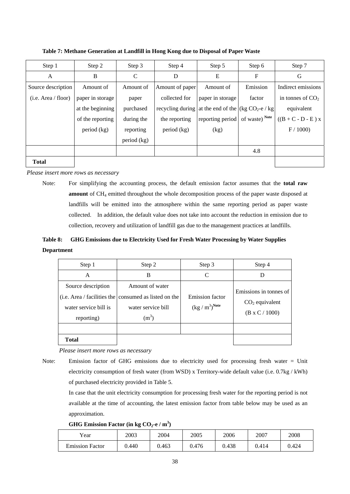| Step 1              | Step 2           | Step 3        | Step 4                                                       | Step 5           | Step 6                    | Step 7                |
|---------------------|------------------|---------------|--------------------------------------------------------------|------------------|---------------------------|-----------------------|
| A                   | B                | $\mathcal{C}$ | D                                                            | E                | $\boldsymbol{\mathrm{F}}$ | G                     |
| Source description  | Amount of        | Amount of     | Amount of paper                                              | Amount of        | Emission                  | Indirect emissions    |
| (i.e. Area / floor) | paper in storage | paper         | collected for                                                | paper in storage | factor                    | in tonnes of $CO2$    |
|                     | at the beginning | purchased     | recycling during at the end of the $(\text{kg CO}_2$ -e / kg |                  |                           | equivalent            |
|                     | of the reporting | during the    | the reporting                                                | reporting period | of waste) Note            | $((B + C - D - E) x)$ |
|                     | period (kg)      | reporting     | period (kg)                                                  | (kg)             |                           | F / 1000              |
|                     |                  | period (kg)   |                                                              |                  |                           |                       |
|                     |                  |               |                                                              |                  | 4.8                       |                       |
| <b>Total</b>        |                  |               |                                                              |                  |                           |                       |

 **Table 7: Methane Generation at Landfill in Hong Kong due to Disposal of Paper Waste** 

 *Please insert more rows as necessary* 

Note: For simplifying the accounting process, the default emission factor assumes that the **total raw amount** of CH<sub>4</sub> emitted throughout the whole decomposition process of the paper waste disposed at landfills will be emitted into the atmosphere within the same reporting period as paper waste collected. In addition, the default value does not take into account the reduction in emission due to collection, recovery and utilization of landfill gas due to the management practices at landfills.

## **Table 8: GHG Emissions due to Electricity Used for Fresh Water Processing by Water Supplies Department**

| Step 1                                                    | Step 2                                                                                                              | Step 3                                                                     | Step 4                                                              |
|-----------------------------------------------------------|---------------------------------------------------------------------------------------------------------------------|----------------------------------------------------------------------------|---------------------------------------------------------------------|
| A                                                         | B                                                                                                                   | C                                                                          | Ð                                                                   |
| Source description<br>water service bill is<br>reporting) | Amount of water<br>(i.e. Area / facilities the consumed as listed on the<br>water service bill<br>(m <sup>3</sup> ) | <b>Emission factor</b><br>$(\text{kg}\mathbin{/}\text{m}^3)^{\text{Note}}$ | Emissions in tonnes of<br>$CO2$ equivalent<br>$(B \times C / 1000)$ |
|                                                           |                                                                                                                     |                                                                            |                                                                     |
| <b>Total</b>                                              |                                                                                                                     |                                                                            |                                                                     |

 *Please insert more rows as necessary* 

Note: Emission factor of GHG emissions due to electricity used for processing fresh water = Unit electricity consumption of fresh water (from WSD) x Territory-wide default value (i.e. 0.7kg / kWh) of purchased electricity provided in Table 5.

In case that the unit electricity consumption for processing fresh water for the reporting period is not available at the time of accounting, the latest emission factor from table below may be used as an approximation.

GHG Emission Factor (in kg  $CO_2$ -e / m<sup>3</sup>)

| $v_{\text{ear}}$       | 2003  | 2004  | 2005  | 2006  | 2007  | 2008  |
|------------------------|-------|-------|-------|-------|-------|-------|
| <b>Emission Factor</b> | 0.440 | 0.463 | 0.476 | 0.438 | 0.414 | 0.424 |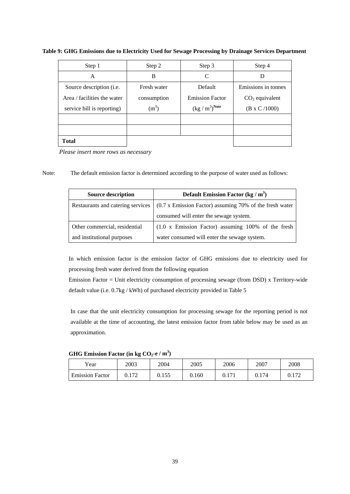| Step 1                             | Step 2      | Step 3                     | Step 4                |
|------------------------------------|-------------|----------------------------|-----------------------|
| A                                  | B           | C                          |                       |
| Source description ( <i>i.e.</i> ) | Fresh water | Default                    | Emissions in tonnes   |
| Area / facilities the water        | consumption | <b>Emission Factor</b>     | $CO2$ equivalent      |
| service bill is reporting)         | $(m^3)$     | $(kg/m^3)$ <sup>Note</sup> | $(B \times C / 1000)$ |
|                                    |             |                            |                       |
|                                    |             |                            |                       |
| <b>Total</b>                       |             |                            |                       |

**Table 9: GHG Emissions due to Electricity Used for Sewage Processing by Drainage Services Department** 

 *Please insert more rows as necessary* 

Note: The default emission factor is determined according to the purpose of water used as follows:

| <b>Source description</b>         | Default Emission Factor (kg / $m3$ )                           |  |  |
|-----------------------------------|----------------------------------------------------------------|--|--|
| Restaurants and catering services | $(0.7 \times$ Emission Factor) assuming 70% of the fresh water |  |  |
|                                   | consumed will enter the sewage system.                         |  |  |
| Other commercial, residential     | $(1.0 \times$ Emission Factor) assuming 100% of the fresh      |  |  |
| and institutional purposes        | water consumed will enter the sewage system.                   |  |  |

In which emission factor is the emission factor of GHG emissions due to electricity used for processing fresh water derived from the following equation

 default value (i.e. 0.7kg / kWh) of purchased electricity provided in Table 5 Emission Factor = Unit electricity consumption of processing sewage (from DSD) x Territory-wide

 In case that the unit electricity consumption for processing sewage for the reporting period is not available at the time of accounting, the latest emission factor from table below may be used as an approximation.

**GHG Emission Factor (in kg**  $CO_2$ **-e** / m<sup>3</sup>)

|                        | __           |       |       |       |       |       |
|------------------------|--------------|-------|-------|-------|-------|-------|
| Year                   | 2003         | 2004  | 2005  | 2006  | 2007  | 2008  |
| <b>Emission Factor</b> | 172<br>J.114 | 0.155 | 0.160 | 0.171 | 0.174 | 0.172 |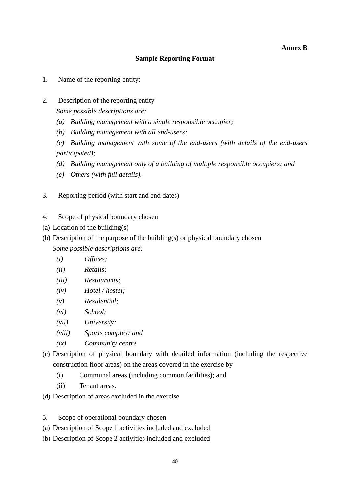#### **Annex B**

## **Sample Reporting Format**

- 1. Name of the reporting entity:
- 2. Description of the reporting entity

*Some possible descriptions are:* 

- *(a) Building management with a single responsible occupier;*
- *(b) Building management with all end-users;*

*(c) Building management with some of the end-users (with details of the end-users participated);* 

- *(d) Building management only of a building of multiple responsible occupiers; and*
- *(e) Others (with full details).*
- 3. Reporting period (with start and end dates)
- 4. Scope of physical boundary chosen
- (a) Location of the building(s)
- (b) Description of the purpose of the building(s) or physical boundary chosen *Some possible descriptions are:* 
	- *(i) Offices;*
	- *(ii) Retails;*
	- *(iii) Restaurants;*
	- *(iv) Hotel / hostel;*
	- *(v) Residential;*
	- *(vi) School;*
	- *(vii) University;*
	- *(viii) Sports complex; and*
	- $(ix)$  $Commu$ *nity centre*
- (c) Description of physical boundary with detailed information (including the respective construction floor areas) on the areas covered in the exercise by
	- (i) Communal areas (including common facilities); and
	- (ii) Tenant areas.
- (d) Description of areas excluded in the exercise
- 5. Scope of operational boundary chosen
- (a) Description of Scope 1 activities included and excluded
- (b) Description of Scope 2 activities included and excluded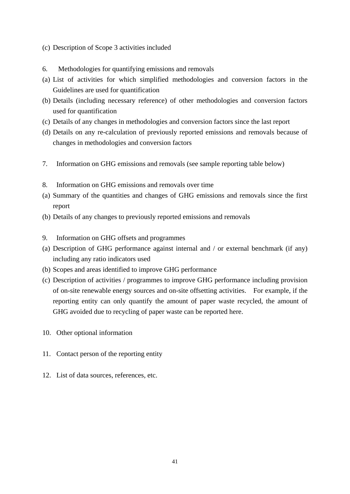#### (c) Description of Scope 3 activities included

- 6. Methodologies for quantifying emissions and removals
- (a) List of activities for which simplified methodologies and conversion factors in the Guidelines are used for quantification
- (b) Details (including necessary reference) of other methodologies and conversion factors used for quantification
- (c) Details of any changes in methodologies and conversion factors since the last report
- (d) Details on any re-calculation of previously reported emissions and removals because of changes in methodologies and conversion factors
- 7. Information on GHG emissions and removals (see sample reporting table below)
- 8. Information on GHG emissions and removals over time
- (a) Summary of the quantities and changes of GHG emissions and removals since the first report
- (b) Details of any changes to previously reported emissions and removals
- 9. Information on GHG offsets and programmes
- (a) Description of GHG performance against internal and / or external benchmark (if any) including any ratio indicators used
- (b) Scopes and areas identified to improve GHG performance
- (c) Description of activities / programmes to improve GHG performance including provision of on-site renewable energy sources and on-site offsetting activities. For example, if the reporting entity can only quantify the amount of paper waste recycled, the amount of GHG avoided due to recycling of paper waste can be reported here.
- 10. Other optional information
- 11. Contact person of the reporting entity
- 12. List of data sources, references, etc.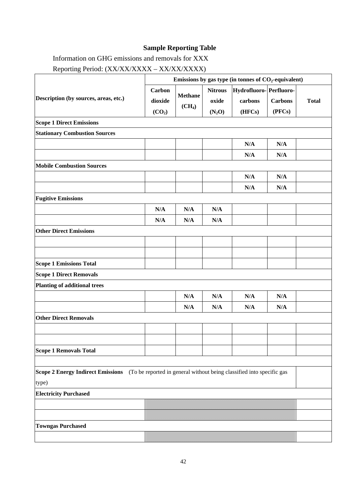# **Sample Reporting Table**

Information on GHG emissions and removals for XXX

Reporting Period: (XX/XX/XXXX – XX/XX/XXXX)

|                                                                                                         | Emissions by gas type (in tonnes of $CO2$ -equivalent) |                    |                |                        |                |              |
|---------------------------------------------------------------------------------------------------------|--------------------------------------------------------|--------------------|----------------|------------------------|----------------|--------------|
| Description (by sources, areas, etc.)                                                                   | Carbon                                                 |                    | <b>Nitrous</b> | Hydrofluoro-Perfluoro- |                |              |
|                                                                                                         | dioxide                                                | <b>Methane</b>     | oxide          | carbons                | <b>Carbons</b> | <b>Total</b> |
|                                                                                                         | (CO <sub>2</sub> )                                     | (CH <sub>4</sub> ) | $(N_2O)$       | (HFCs)                 | (PFCs)         |              |
| <b>Scope 1 Direct Emissions</b>                                                                         |                                                        |                    |                |                        |                |              |
| <b>Stationary Combustion Sources</b>                                                                    |                                                        |                    |                |                        |                |              |
|                                                                                                         |                                                        |                    |                | N/A                    | N/A            |              |
|                                                                                                         |                                                        |                    |                | N/A                    | N/A            |              |
| <b>Mobile Combustion Sources</b>                                                                        |                                                        |                    |                |                        |                |              |
|                                                                                                         |                                                        |                    |                | N/A                    | N/A            |              |
|                                                                                                         |                                                        |                    |                | N/A                    | N/A            |              |
| <b>Fugitive Emissions</b>                                                                               |                                                        |                    |                |                        |                |              |
|                                                                                                         | N/A                                                    | N/A                | N/A            |                        |                |              |
|                                                                                                         | N/A                                                    | N/A                | N/A            |                        |                |              |
| <b>Other Direct Emissions</b>                                                                           |                                                        |                    |                |                        |                |              |
|                                                                                                         |                                                        |                    |                |                        |                |              |
|                                                                                                         |                                                        |                    |                |                        |                |              |
| <b>Scope 1 Emissions Total</b>                                                                          |                                                        |                    |                |                        |                |              |
| <b>Scope 1 Direct Removals</b>                                                                          |                                                        |                    |                |                        |                |              |
| Planting of additional trees                                                                            |                                                        |                    |                |                        |                |              |
|                                                                                                         |                                                        | N/A                | N/A            | N/A                    | N/A            |              |
|                                                                                                         |                                                        | N/A                | N/A            | N/A                    | N/A            |              |
| <b>Other Direct Removals</b>                                                                            |                                                        |                    |                |                        |                |              |
|                                                                                                         |                                                        |                    |                |                        |                |              |
|                                                                                                         |                                                        |                    |                |                        |                |              |
| Scope 1 Removals Total                                                                                  |                                                        |                    |                |                        |                |              |
|                                                                                                         |                                                        |                    |                |                        |                |              |
| Scope 2 Energy Indirect Emissions (To be reported in general without being classified into specific gas |                                                        |                    |                |                        |                |              |
| type)                                                                                                   |                                                        |                    |                |                        |                |              |
| <b>Electricity Purchased</b>                                                                            |                                                        |                    |                |                        |                |              |
|                                                                                                         |                                                        |                    |                |                        |                |              |
|                                                                                                         |                                                        |                    |                |                        |                |              |
| <b>Towngas Purchased</b>                                                                                |                                                        |                    |                |                        |                |              |
|                                                                                                         |                                                        |                    |                |                        |                |              |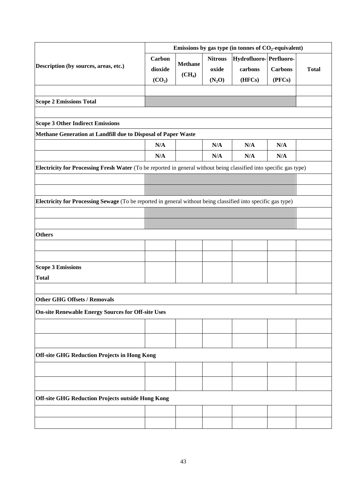|                                                                                                                    | Emissions by gas type (in tonnes of $CO2$ -equivalent) |                    |                |                        |                          |              |
|--------------------------------------------------------------------------------------------------------------------|--------------------------------------------------------|--------------------|----------------|------------------------|--------------------------|--------------|
|                                                                                                                    | Carbon                                                 |                    | <b>Nitrous</b> | Hydrofluoro-Perfluoro- |                          |              |
| Description (by sources, areas, etc.)                                                                              | dioxide                                                | <b>Methane</b>     | oxide          | carbons                | <b>Carbons</b><br>(PFCs) | <b>Total</b> |
|                                                                                                                    | (CO <sub>2</sub> )                                     | (CH <sub>4</sub> ) | $(N_2O)$       | (HFCs)                 |                          |              |
|                                                                                                                    |                                                        |                    |                |                        |                          |              |
| <b>Scope 2 Emissions Total</b>                                                                                     |                                                        |                    |                |                        |                          |              |
|                                                                                                                    |                                                        |                    |                |                        |                          |              |
| <b>Scope 3 Other Indirect Emissions</b>                                                                            |                                                        |                    |                |                        |                          |              |
| Methane Generation at Landfill due to Disposal of Paper Waste                                                      |                                                        |                    |                |                        |                          |              |
|                                                                                                                    | N/A                                                    |                    | N/A            | N/A                    | N/A                      |              |
|                                                                                                                    | N/A                                                    |                    | N/A            | N/A                    | N/A                      |              |
| Electricity for Processing Fresh Water (To be reported in general without being classified into specific gas type) |                                                        |                    |                |                        |                          |              |
|                                                                                                                    |                                                        |                    |                |                        |                          |              |
|                                                                                                                    |                                                        |                    |                |                        |                          |              |
|                                                                                                                    |                                                        |                    |                |                        |                          |              |
| Electricity for Processing Sewage (To be reported in general without being classified into specific gas type)      |                                                        |                    |                |                        |                          |              |
|                                                                                                                    |                                                        |                    |                |                        |                          |              |
|                                                                                                                    |                                                        |                    |                |                        |                          |              |
| <b>Others</b>                                                                                                      |                                                        |                    |                |                        |                          |              |
|                                                                                                                    |                                                        |                    |                |                        |                          |              |
|                                                                                                                    |                                                        |                    |                |                        |                          |              |
| <b>Scope 3 Emissions</b>                                                                                           |                                                        |                    |                |                        |                          |              |
| <b>Total</b>                                                                                                       |                                                        |                    |                |                        |                          |              |
|                                                                                                                    |                                                        |                    |                |                        |                          |              |
| <b>Other GHG Offsets / Removals</b>                                                                                |                                                        |                    |                |                        |                          |              |
|                                                                                                                    |                                                        |                    |                |                        |                          |              |
| On-site Renewable Energy Sources for Off-site Uses                                                                 |                                                        |                    |                |                        |                          |              |
|                                                                                                                    |                                                        |                    |                |                        |                          |              |
|                                                                                                                    |                                                        |                    |                |                        |                          |              |
|                                                                                                                    |                                                        |                    |                |                        |                          |              |
| <b>Off-site GHG Reduction Projects in Hong Kong</b>                                                                |                                                        |                    |                |                        |                          |              |
|                                                                                                                    |                                                        |                    |                |                        |                          |              |
|                                                                                                                    |                                                        |                    |                |                        |                          |              |
|                                                                                                                    |                                                        |                    |                |                        |                          |              |
| <b>Off-site GHG Reduction Projects outside Hong Kong</b>                                                           |                                                        |                    |                |                        |                          |              |
|                                                                                                                    |                                                        |                    |                |                        |                          |              |
|                                                                                                                    |                                                        |                    |                |                        |                          |              |
|                                                                                                                    |                                                        |                    |                |                        |                          |              |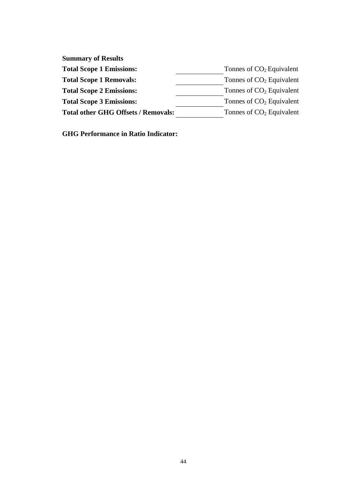| <b>Summary of Results</b>                  |                            |
|--------------------------------------------|----------------------------|
| <b>Total Scope 1 Emissions:</b>            | Tonnes of $CO2$ Equivalent |
| <b>Total Scope 1 Removals:</b>             | Tonnes of $CO2$ Equivalent |
| <b>Total Scope 2 Emissions:</b>            | Tonnes of $CO2$ Equivalent |
| <b>Total Scope 3 Emissions:</b>            | Tonnes of $CO2$ Equivalent |
| <b>Total other GHG Offsets / Removals:</b> | Tonnes of $CO2$ Equivalent |

**GHG Performance in Ratio Indicator:**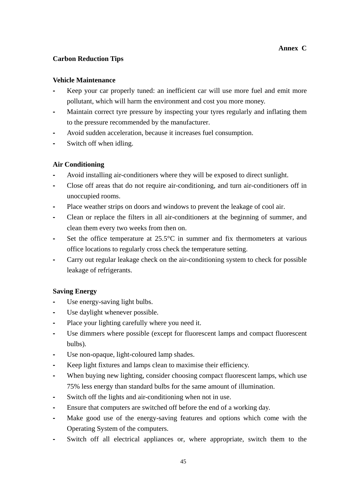#### **Annex C**

## **Carbon Reduction Tips**

#### **Vehicle Maintenance**

- **-** Keep your car properly tuned: an inefficient car will use more fuel and emit more pollutant, which will harm the environment and cost you more money.
- **-** Maintain correct tyre pressure by inspecting your tyres regularly and inflating them to the pressure recommended by the manufacturer.
- **-** Avoid sudden acceleration, because it increases fuel consumption.
- **-** Switch off when idling.

#### **Air Conditioning**

- **-** Avoid installing air-conditioners where they will be exposed to direct sunlight.
- **-** Close off areas that do not require air-conditioning, and turn air-conditioners off in unoccupied rooms.
- Place weather strips on doors and windows to prevent the leakage of cool air.
- **-** Clean or replace the filters in all air-conditioners at the beginning of summer, and clean them every two weeks from then on.
- Set the office temperature at 25.5°C in summer and fix thermometers at various office locations to regularly cross check the temperature setting.
- **-** Carry out regular leakage check on the air-conditioning system to check for possible leakage of refrigerants.

## **Saving Energy**

- Use energy-saving light bulbs.
- **-** Use daylight whenever possible.
- Place your lighting carefully where you need it.
- **-** Use dimmers where possible (except for fluorescent lamps and compact fluorescent bulbs).
- Use non-opaque, light-coloured lamp shades.
- **-** Keep light fixtures and lamps clean to maximise their efficiency.
- **-** When buying new lighting, consider choosing compact fluorescent lamps, which use 75% less energy than standard bulbs for the same amount of illumination.
- **-** Switch off the lights and air-conditioning when not in use.
- **-** Ensure that computers are switched off before the end of a working day.
- **-** Make good use of the energy-saving features and options which come with the Operating System of the computers.
- **-** Switch off all electrical appliances or, where appropriate, switch them to the